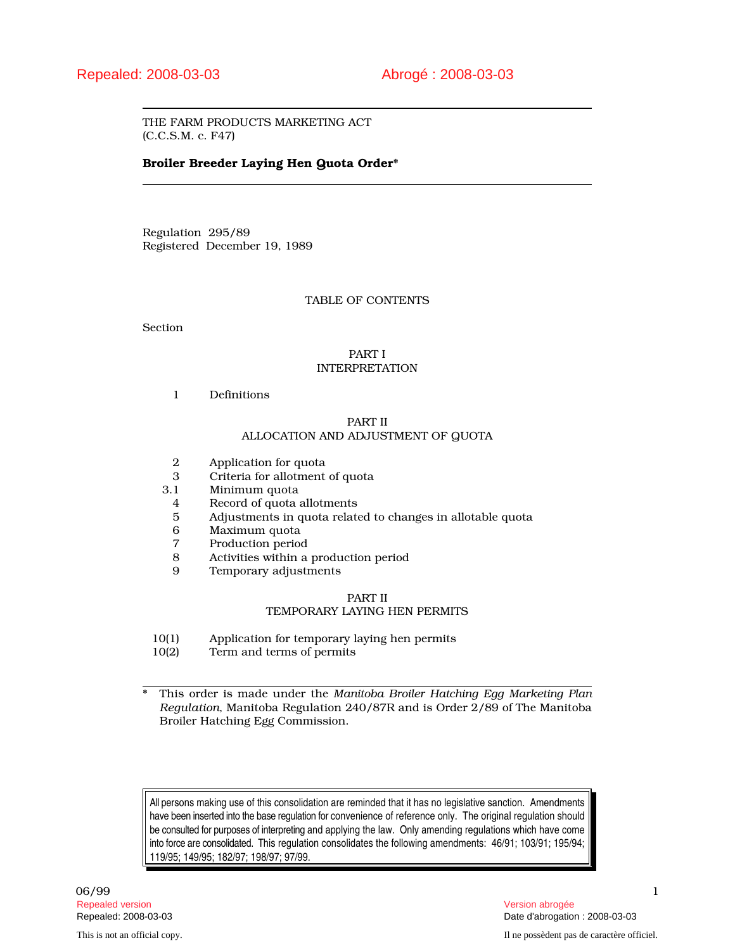THE FARM PRODUCTS MARKETING ACT (C.C.S.M. c. F47)

# Broiler Breeder Laying Hen Quota Order\*

Regulation 295/89 Registered December 19, 1989

#### TABLE OF CONTENTS

**Section** 

#### PART I INTERPRETATION

1 Definitions

# PART II ALLOCATION AND ADJUSTMENT OF QUOTA

- 2 Application for quota
- 3 Criteria for allotment of quota
- 3.1 Minimum quota
	- 4 Record of quota allotments
	- 5 Adjustments in quota related to changes in allotable quota
	- 6 Maximum quota<sup>7</sup>
	- Production period
	- 8 Activities within a production period
	- 9 Temporary adjustments

#### PART II TEMPORARY LAYING HEN PERMITS

- 10(1) Application for temporary laying hen permits
- 10(2) Term and terms of permits

\* This order is made under the *Manitoba Broiler Hatching Egg Marketing Plan Regulation*, Manitoba Regulation 240/87R and is Order 2/89 of The Manitoba Broiler Hatching Egg Commission.

All persons making use of this consolidation are reminded that it has no legislative sanction. Amendments have been inserted into the base regulation for convenience of reference only. The original regulation should be consulted for purposes of interpreting and applying the law. Only amending regulations which have come into force are consolidated. This regulation consolidates the following amendments: 46/91; 103/91; 195/94; 119/95; 149/95; 182/97; 198/97; 97/99.

06/99 1 Repealed version Version abrogée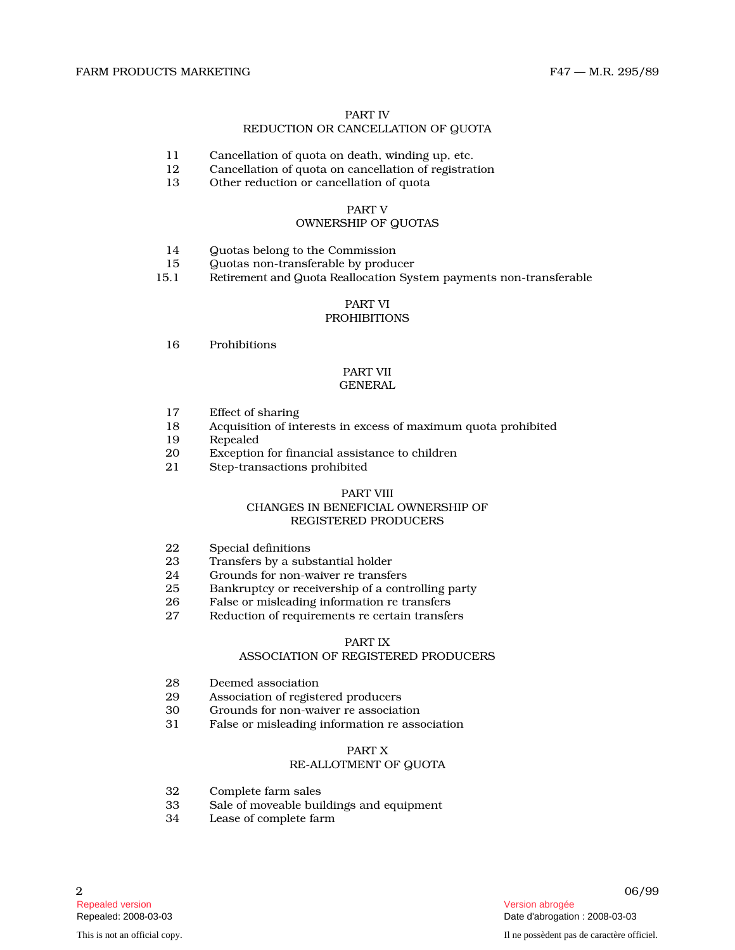#### PART IV

#### REDUCTION OR CANCELLATION OF QUOTA

- 11 Cancellation of quota on death, winding up, etc.<br>12 Cancellation of quota on cancellation of registrat
- 12 Cancellation of quota on cancellation of registration<br>13 Other reduction or cancellation of quota
- Other reduction or cancellation of quota

#### PART V

#### OWNERSHIP OF QUOTAS

- 14 Quotas belong to the Commission
- 15 Quotas non-transferable by producer
- 15.1 Re ti r e m e nt and Q u o ta Re allocation System payments non-transferable

# PART VI

# PROHIBITIONS

16 Prohibitions

#### PART VII GENERAL

- 17 Effect of sharing
- 18 Acquisition of interests in excess of maximum quota prohibited
- 19 Repealed
- 20 Exception for financial assistance to children
- 21 Step-transactions prohibited

#### PART VIII

#### CHANGES IN BENEFICIAL OWNERSHIP OF REGISTERED PRODUCERS

- 22 Special definitions<br>23 Transfers by a sub
- 23 Transfers by a substantial holder<br>24 Grounds for non-waiver re transfe
- 24 Grounds for non-waiver re transfers<br>25 Bankruptcy or receivership of a cont
- 25 Bankruptcy or receivership of a controlling party
- 26 False or misleading information re transfers
- 27 Reduction of requirements re certain transfers

#### PART IX

#### ASSOCIATION OF REGISTERED PRODUCERS

- 28 Deemed association
- 29 Association of registered producers
- 30 Grounds for non-waiver re association
- 31 False or misleading information re association

# PART X

# RE-ALLOTMENT OF QUOTA

- 32 Complete farm sales
- 33 Sale of moveable buildings and equipment
- 34 Lease of complete farm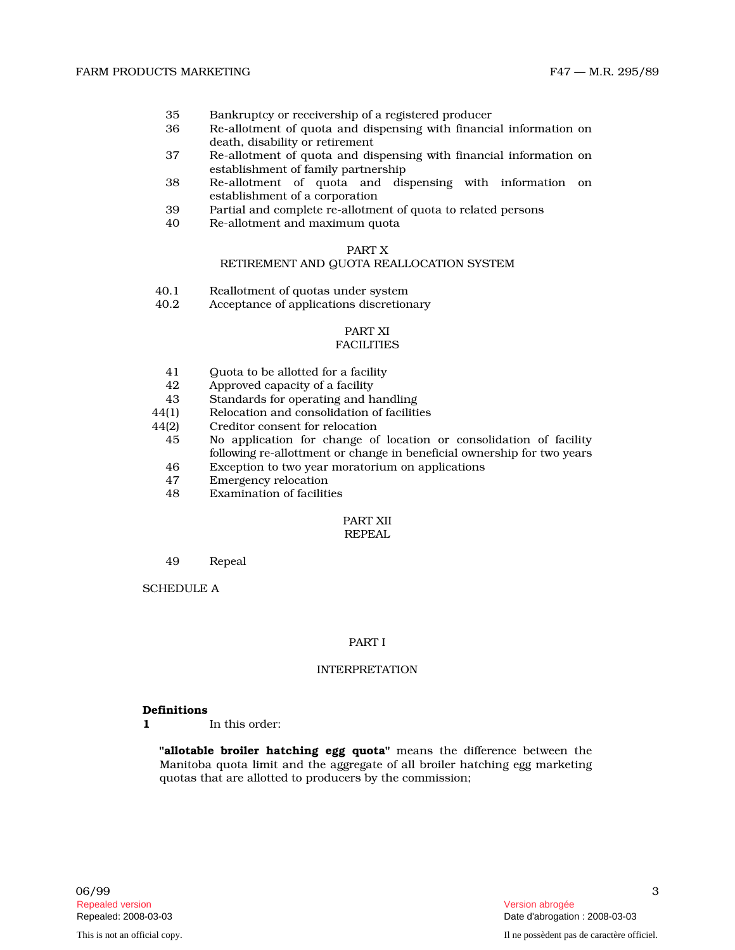- 35 Bankruptcy or receivership of a registered producer
- 36 Re-allotment of quota and dispensing with financial information on death, disability or retirement
- 37 Re-allotment of quota and dispensing with financial information on establishment of family partnership
- 38 Re-allotment of quota and dispensing with information on establishment of a corporation
- 39 Partial and complete re-allotment of quota to related persons
- 40 Re-allotment and maximum quota

#### PART X

# RETIREMENT AND QUOTA REALLOCATION SYSTEM

- 40.1 Reallotment of quotas under system
- 40.2 Acceptance of applications discretionary

# PART XI

# **FACILITIES**

- 41 Quota to be allotted for a facility
- 42 Approved capacity of a facility
- 43 Standards for operating and handling
- 44(1) Relocation and consolidation of facilities
- 44(2) Creditor consent for relocation
	- 45 No application for change of location or consolidation of facility foll owi n g re-allottment or change in beneficial ownership for two years
	- 46 Exception to two year moratorium on applications
	- 47 Emergency relocation<br>48 Examination of faciliti
	- Examination of facilities

#### PART XII REPEAL

49 Repeal

SCHEDULE A

#### PART I

#### INTERPRETATION

#### Definitions

1 In this order:

"allotable broiler hatching egg quota" means the difference between the Manitoba quota limit and the aggregate of all broiler hatching egg marketing quotas that are allotted to producers by the commission;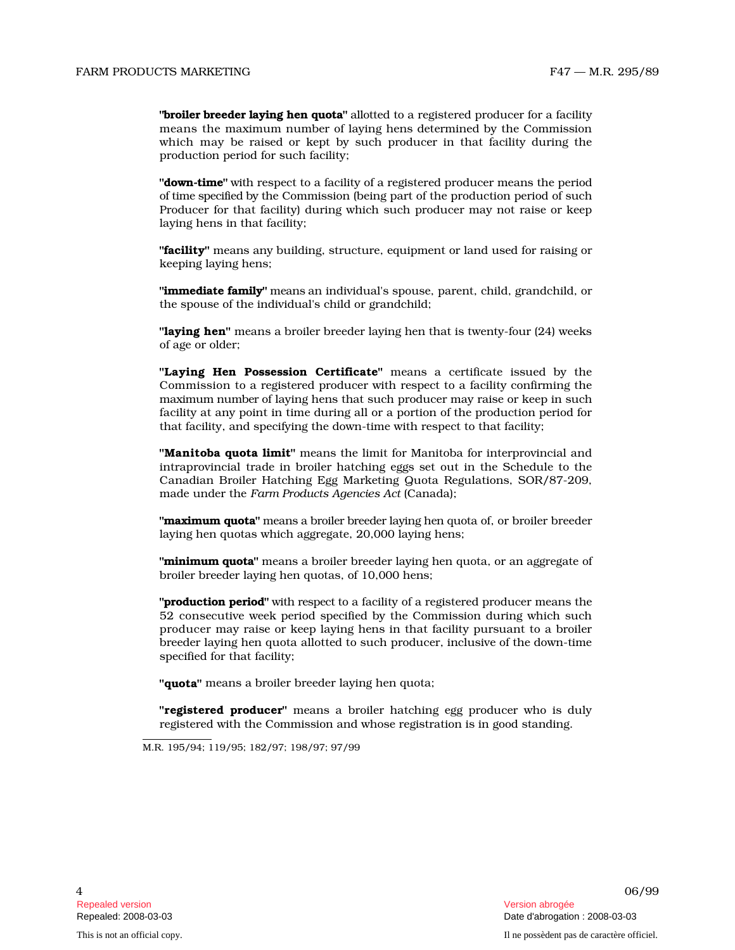production period for such facility;

"**down-time**" with respect to a facility of a registered producer means the period of time specified by the Commission (being part of the production period of such Producer for that facility) during which such producer may not raise or keep laying hens in that facility;

"facility" means any building, structure, equipment or land used for raising or keeping laying hens;

**"immediate family"** means an individual's spouse, parent, child, grandchild, or the spouse of the individual's child or grandchild;

**"laying hen"** means a broiler breeder laying hen that is twenty-four (24) weeks of age or older;

"Laying Hen Possession Certificate" means a certificate issued by the Commission to a registered producer with respect to a facility confirming the m axi m um n u mb er of laying hens that such producer may raise or keep in such facility at any point in time during all or a portion of the production period for that facility, and specifying the down-time with respect to that facility;

"Manitoba quota limit" means the limit for Manitoba for interprovincial and intraprovincial trade in broiler hatching eggs set out in the Schedule to the Canadian Broiler Hatching Egg Marketing Quota Regulations, SOR/87-209, made under the *Farm Products Agencies Act* (Canada);

**"maximum quota"** means a broiler breeder laying hen quota of, or broiler breeder laying hen quotas which aggregate, 20,000 laying hens;

"**minimum quota**" means a broiler breeder laying hen quota, or an aggregate of broiler breeder laying hen quotas, of 10,000 hens;

The the total through the quality that provide the a registered products for a lactility<br>product on the measurement of the system of the commission<br>production production product for such lactility. The commission<br>producti **"production period"** with respect to a facility of a registered producer means the 52 consecutive week period specified by the Commission during which such producer may raise or keep laying hens in that facility pursuant to a broiler breeder laying hen quota allotted to such producer, inclusive of the down-time specified for that facility;

"quota" means a broiler breeder laying hen quota;

"registered producer" means a broiler hatching egg producer who is duly registered with the Commission and whose registration is in good standing.

M.R. 195/94; 119/95; 182/97; 198/97; 97/99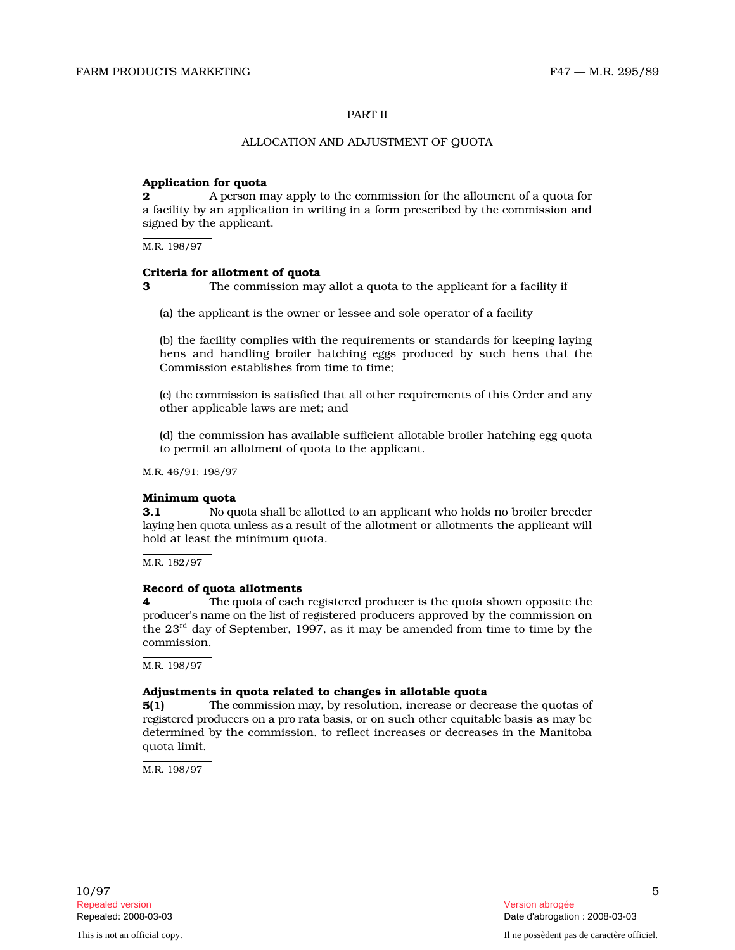#### PART II

#### ALLOCATION AND ADJUSTMENT OF QUOTA

#### Application for quota

2 **2** A person may apply to the commission for the allotment of a quota for a facility by an application in writing in a form prescribed by the commission and signed by the applicant.

M.R. 198/97

#### Criteria for allotment of quota

- **3** The commission may allot a quota to the applicant for a facility if
	- (a) the applicant is the owner or lessee and sole operator of a facility

(b) the facility complies with the requirements or standards for keeping laying hens and handling broiler hatching eggs produced by such hens that the Commission establishes from time to time;

(c) the commission is satisfied that all other requirements of this Order and any other applicable laws are met; and

(d) the commission has available sufficient allotable broiler hatching egg quota to permit an allotment of quota to the applicant.

M.R. 46/91; 198/97

#### Minimum quota

3.1 No qu o ta s h all be allotted to an applicant who holds no broiler breeder laying hen quota unless as a result of the allotment or allotments the applicant will hold at least the minimum quota.

M.R. 182/97

#### Record of quota allotments

4 The quota of each registered producer is the quota shown opposite the producer's name on the list of registered producers approved by the commission on the  $23<sup>rd</sup>$  day of September, 1997, as it may be amended from time to time by the commission.

M.R. 198/97

### Adjustments in quota related to changes in allotable quota

5(1) The c omm iss i on m ay , by resolution, increase or decrease the quotas of registered producers on a pro rata basis, or on such other equitable basis as may be determined by the commission, to reflect increases or decreases in the Manitoba quota limit.

M.R. 198/97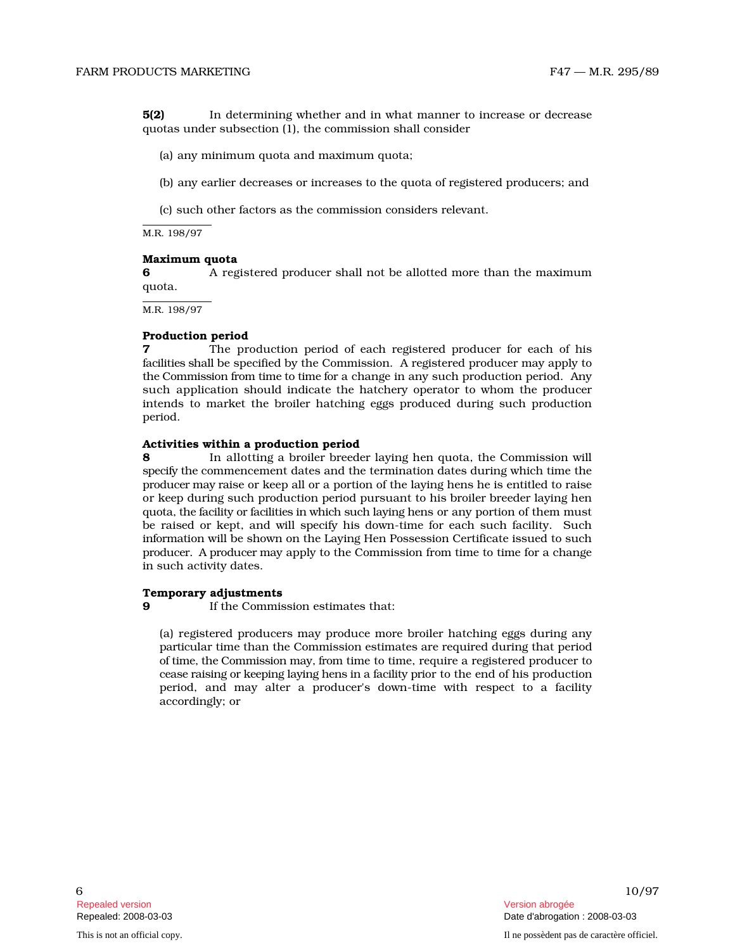5(2) In determining whether and in what manner to increase or decrease quotas under subsection (1), the commission shall consider

(a) any minimum quota and maximum quota;

(b) any earlier decreases or increases to the quota of registered producers; and

(c) such other factors as the commission considers relevant.

M.R. 198/97

#### Maximum quota

**6** A registered producer shall not be allotted more than the maximum quota.

M.R. 198/97

#### Production period

**7** The production period of each registered producer for each of his fa cili ties s h all be specified by the Commission. A registered producer may apply to the Commission from time to time for a change in any such production period. Any such application should indicate the hatchery operator to whom the producer intends to market the broiler hatching eggs produced during such production period.

#### Activities within a production period

**8** In allotting a broiler breeder laying hen quota, the Commission will s pec i fy th e commencement dates and the termination dates during which time the producer may raise or keep all or a portion of the laying hens he is entitled to raise or keep during such production period pursuant to his broiler breeder laying hen quota, the facility or facilities in which such laying hens or any portion of them must be raised or kept, and will specify his down-time for each such facility. Such i n fo rm ation will be shown on the Laying Hen Possession Certificate issued to such p r o d uce r. A p r o d ucer m ay apply to the Commission from time to time for a change in such activity dates.

### Temporary adjustments

9 If the Commission estimates that:

(a) registered producers may produce more broiler hatching eggs during any p arti c ular time than the Commission estimates are required during that period of time, the Commission may, from time to time, require a registered producer to ce ase rai s i ng or kee p i ng l ayi ng h e ns in a fa cili ty p rior to the end of his production period, and may alter a producer's down-time with respect to a facility accordingly; or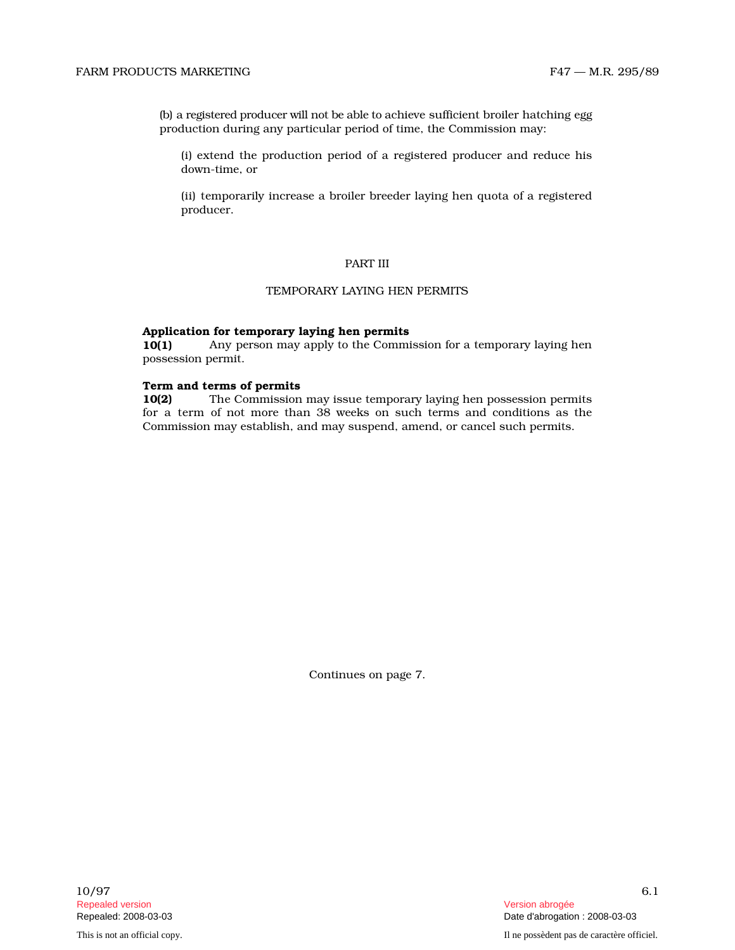production during any particular period of time, the Commission may:

(i) extend the production period of a registered producer and reduce his down-time, or

(ii) temporarily increase a broiler breeder laying hen quota of a registered producer.

# PART III

# TEMPORARY LAYING HEN PERMITS

# Application for temporary laying hen permits

10(1) Any person may apply to the Commission for a temporary laying hen possession permit.

#### Term and terms of permits

B) a registered producer will not be label to achieve suitable including eight producer and reduced producer will extend the production period of a registered producer and reduce this discussed producer.<br>
(ii) correlated 10(2) The Commission may issue temporary laying hen possession permits for a term of not more than 38 weeks on such terms and conditions as the Commission may establish, and may suspend, amend, or cancel such permits.

Continues on page 7.

Repealed version Version abrogée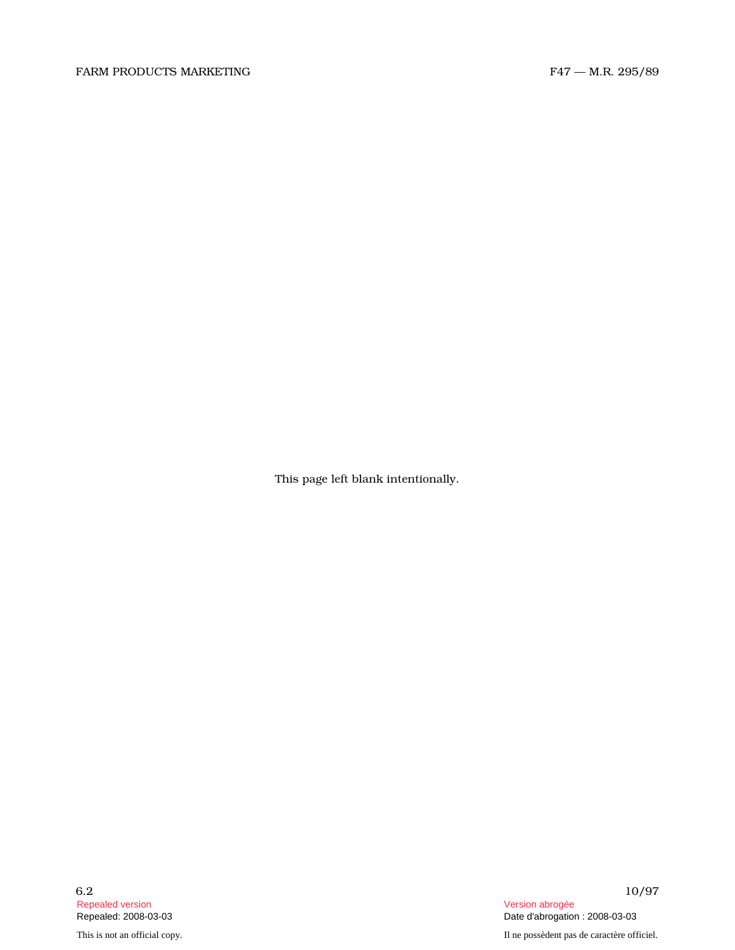This page left blank intentionally.

Repealed version abrogée en active d'active d'active d'active d'active d'active d'active d'active d'active d'a<br>Repealed: 2008-03-03 de la proposa de la proposa de la proposa de la proposa de la proposa de la proposa de la

6.2  $10/97$ Date d'abrogation : 2008-03-03 This is not an official copy. Il ne possèdent pas de caractère officiel.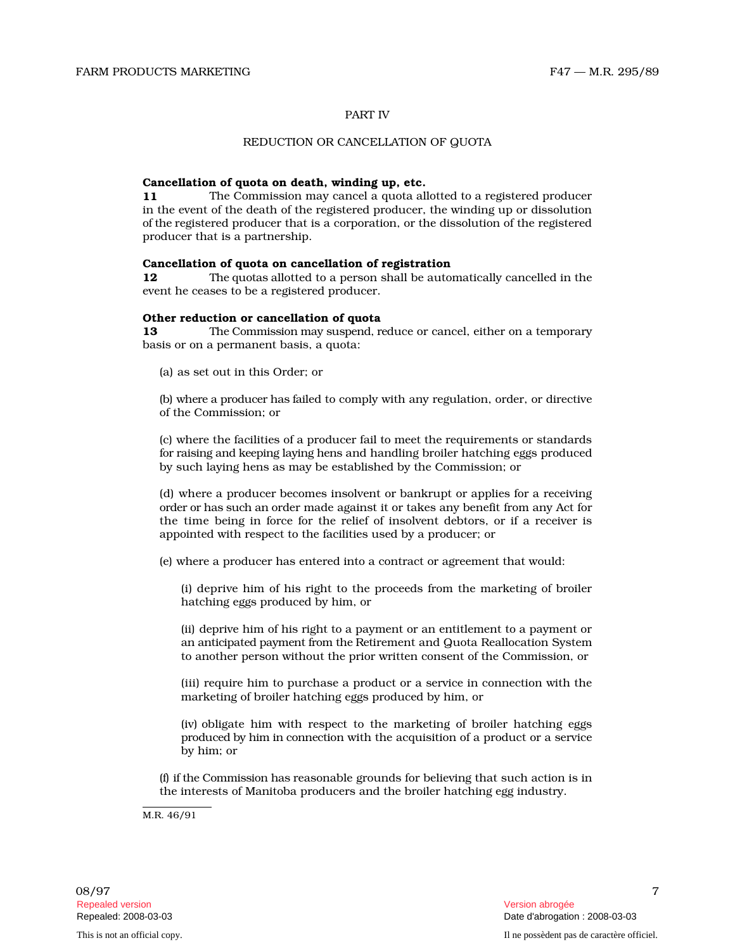#### PART IV

#### REDUCTION OR CANCELLATION OF QUOTA

#### Cancellation of quota on death, winding up, etc.

11 The Commission may cancel a quota allotted to a registered producer in the event of the death of the registered producer, the winding up or dissolution of the registered producer that is a corporation, or the dissolution of the registered producer that is a partnership.

#### Cancellation of quota on cancellation of registration

12 The quotas allotted to a person shall be automatically cancelled in the event he ceases to be a registered producer.

#### Other reduction or cancellation of quota

13 The C omm iss i on m ay s u s p e n d, r educe or cancel, either on a temporary basis or on a permanent basis, a quota:

(a) as set out in this Order; or

(b) where a producer has failed to comply with any regulation, order, or directive of the Commission; or

(c) where t he fa cili t ies of a producer fail to meet the requirements or standards for rai s i ng and kee p i ng l ayi ng h e n s and handling broiler hatching eggs produced by such laying hens as may be established by the Commission; or

(d) where a producer becomes insolvent or bankrupt or applies for a receiving o r d er or h as s u ch an order made against it or takes any benefit from any Act for the time being in force for the relief of insolvent debtors, or if a receiver is appointed with respect to the facilities used by a producer; or

(e) where a producer has entered into a contract or agreement that would:

(i) deprive him of his right to the proceeds from the marketing of broiler hatching eggs produced by him, or

(ii) deprive h im of his right to a payment or an entitlement to a payment or an anticipated payment from the Retirement and Quota Reallocation System to another person without the prior written consent of the Commission, or

(iii) require him to purchase a product or a service in connection with the marketing of broiler hatching eggs produced by him, or

(iv) obligate him with respect to the marketing of broiler hatching eggs produced by him in connection with the acquisition of a product or a service by him; or

( f) if the C omm iss i on h as reasonable grounds for believing that such action is in the interests of Manitoba producers and the broiler hatching egg industry.

M.R. 46/91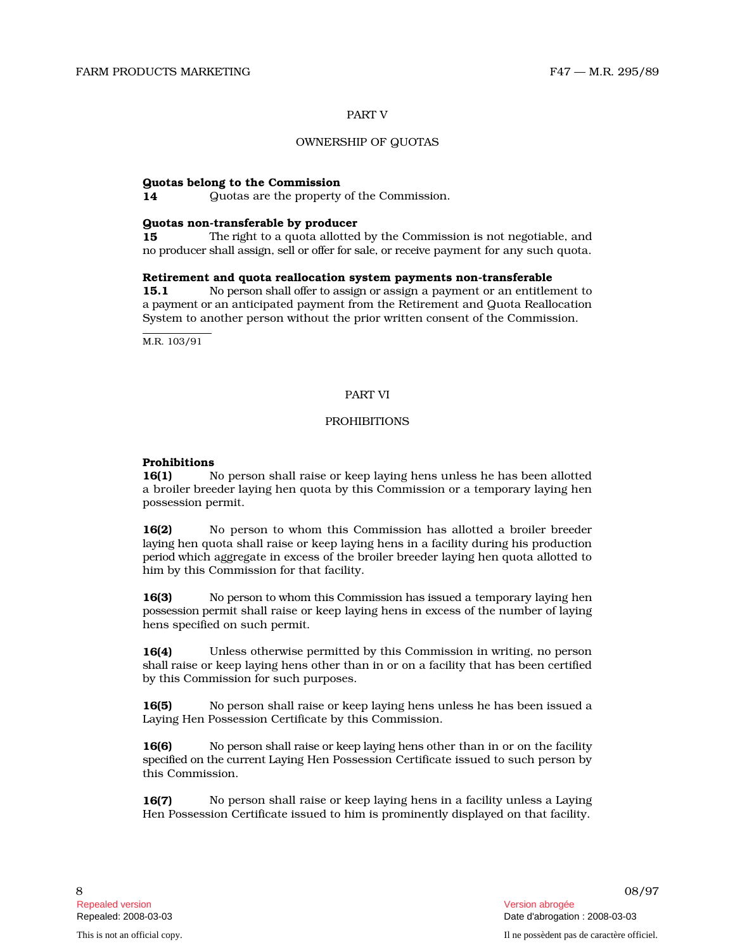#### PART V

#### OWNERSHIP OF QUOTAS

#### Quotas belong to the Commission

14 Quotas are the property of the Commission.

#### Quotas non-transferable by producer

15 The ri ght to a quota allotted by the Commission is not negotiable, and no producer shall assign, sell or offer for sale, or receive payment for any such quota.

#### Retirement and quota reallocation system payments non-transferable

15.1 No p e r s on s h all offer to ass i gn or assign a payment or an entitlement to a p aym e nt or an anticipated payment from the Retirement and Quota Reallocation System to another person without the prior written consent of the Commission.

M.R. 103/91

#### PART VI

#### **PROHIBITIONS**

#### Prohibitions

 $16(1)$ p e r s on s h all r a ise or keep l ay i ng h e ns u n less he h as been allotted a broiler breeder laying hen quota by this Commission or a temporary laying hen possession permit.

16(2) No person to whom this Commission has allotted a broiler breeder l ayi n g hen quota shall raise or keep laying hens in a facility during his production p e ri od which aggregate in excess of the broiler breeder laying hen quota allotted to him by this Commission for that facility.

16(3) No person to whom this Commission has issued a temporary laying hen p ossess i on p ermit shall raise or keep laying hens in excess of the number of laying hens specified on such permit.

16(4) Unless otherwise permitted by this Commission in writing, no person s h all raise or keep laying hens other than in or on a facility that has been certified by this Commission for such purposes.

16(5) No person shall raise or keep laying hens unless he has been issued a Laying Hen Possession Certificate by this Commission.

16(6) No person shall raise or keep laying hens other than in or on the facility specified on the current Laying Hen Possession Certificate issued to such person by this Commission.

 $16(7)$ p e r s on s h all r a ise or keep l ay i ng h e ns in a facility unless a Laying Hen Possession Certificate issued to him is prominently displayed on that facility.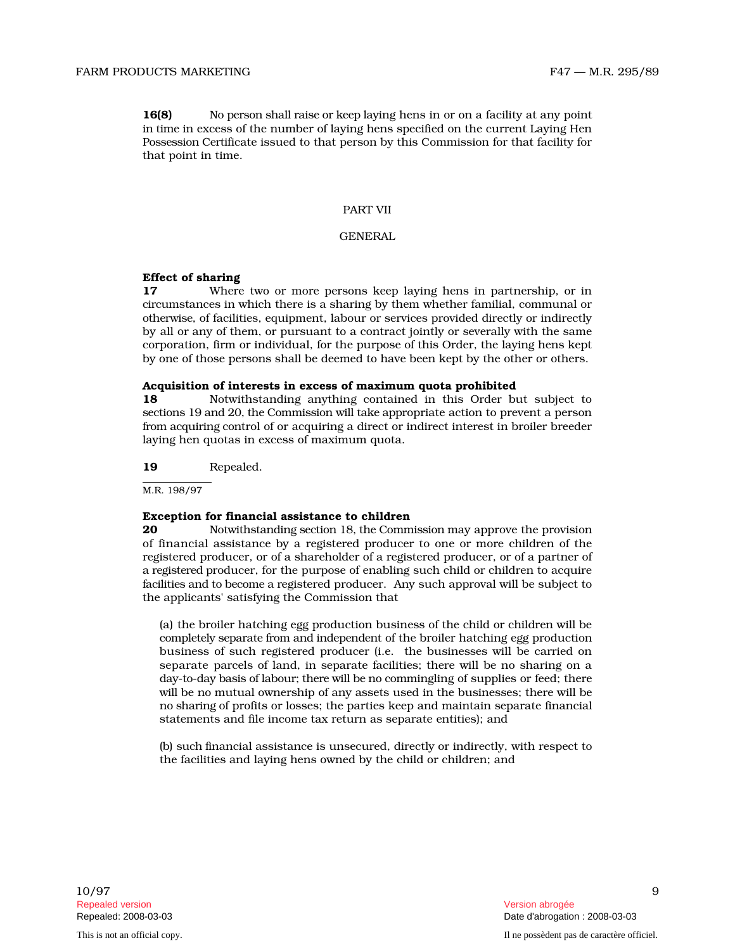16(8) No p e r s on s h all raise or keep l aying hens in or on a facility at any point in ti m e in excess of the number of laying hens specified on the current Laying Hen P ossess i on C e rtificate issued to that person by this Commission for that facility for that point in time.

#### PART VII

#### GENERAL

#### Effect of sharing

17 Where two or more persons keep laying hens in partnership, or in c i r c u mstances in which there is a sharing by them whether familial, communal or o th e rwise, of facilities, equipment, labour or services provided directly or indirectly by all or any of them, or pursuant to a contract jointly or severally with the same corporation, fi rm or i n d ivi d u a l, for t he purpose of this Order, the laying hens kept by one of those persons shall be deemed to have been kept by the other or others.

#### Acquisition of interests in excess of maximum quota prohibited

18 Notwithstanding anything contained in this Order but subject to sections 19 and 20, the Commission will take appropriate action to prevent a person from acquiring control of or acquiring a direct or indirect interest in broiler breeder laying hen quotas in excess of maximum quota.

19 Repealed.

M.R. 198/97

#### Exception for financial assistance to children

20 Notwithstanding section 18, the Commission may approve the provision of financial assistance by a registered producer to one or more children of the registered producer, or of a shareholder of a registered producer, or of a partner of a r e gi s t e r ed producer, for the purpose of enabling such child or children to acquire facilities and to become a registered producer. Any such approval will be subject to the applicants' satisfying the Commission that

(a) the broiler hatching egg production business of the child or children will be completely separate from and independent of the broiler hatching egg production business of such registered producer (i.e. the businesses will be carried on separate parcels of land, in separate facilities; there will be no sharing on a day-to-day basis of labour; there will be no commingling of supplies or feed; there will be no mutual ownership of any assets used in the businesses; there will be no sharing of profits or losses; the parties keep and maintain separate financial statements and file income tax return as separate entities); and

(b) such financial assistance is unsecured, directly or indirectly, with respect to the facilities and laying hens owned by the child or children; and

10/97 Repealed version abrogée et al. Alian abrogée et al. Alian abrogée et al. Alian abrogée et al. Alian abrogée e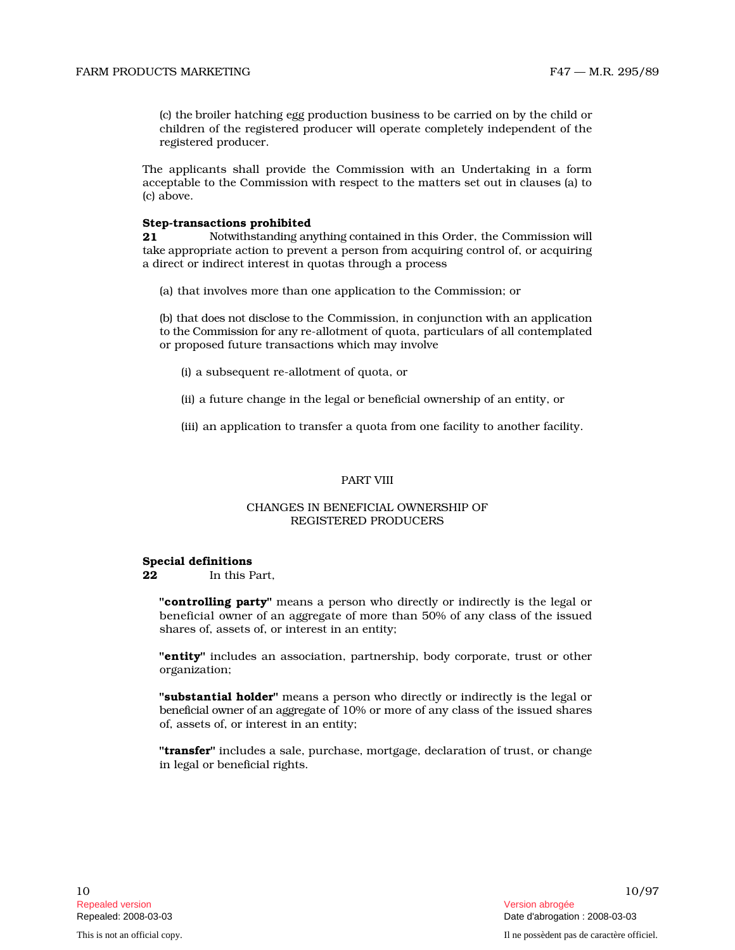children of the registered producer will operate completely independent of the registered producer.

10 law broad radiating (angle production business to be carried on by the child or<br>
relation from the region of the Commission with an Undertaking in a lomp<br>
or relation business to be commission with an Undertaking in a The applicants shall provide the Commission with an Undertaking in a form acceptable to the Commission with respect to the matters set out in clauses (a) to (c) above.

#### Step-transactions prohibited

21 Notwithstanding anything contained in this Order, the Commission will t ake appropriate action to prevent a person from acquiring control of, or acquiring a direct or indirect interest in quotas through a process

(a) that involves more than one application to the Commission; or

(b) that does not disclose to the Commission, in conjunction with an application to the Commission for any re-allotment of quota, particulars of all contemplated or proposed future transactions which may involve

(i) a subsequent re-allotment of quota, or

(ii) a future change in the legal or beneficial ownership of an entity, or

(iii) an application to transfer a quota from one facility to another facility.

#### PART VIII

#### CHANGES IN BENEFICIAL OWNERSHIP OF REGISTERED PRODUCERS

#### Special definitions

22 In this Part,

"controlling party" means a person who directly or indirectly is the legal or beneficial owner of an aggregate of more than 50% of any class of the issued shares of, assets of, or interest in an entity;

"entity" includes an association, partnership, body corporate, trust or other organization;

"substantial holder" means a person who directly or indirectly is the legal or beneficial owner of an aggregate of 10% or more of any class of the issued shares of, assets of, or interest in an entity;

**"transfer"** includes a sale, purchase, mortgage, declaration of trust, or change in legal or beneficial rights.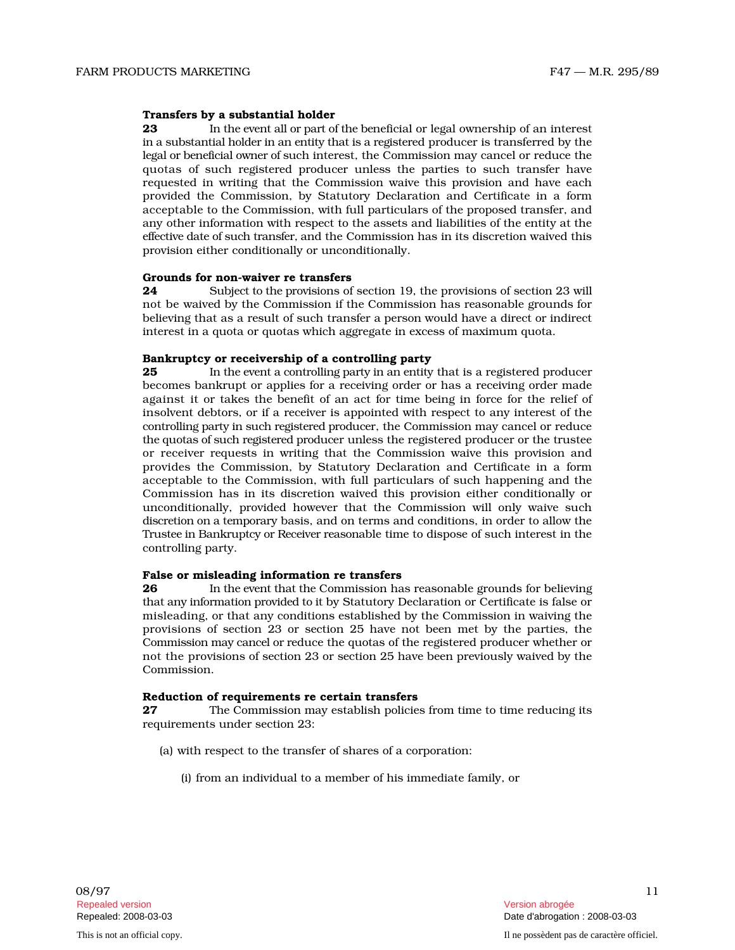#### Transfers by a substantial holder

23 In the eve nt all or p art of the b eneficial or legal ownership of an interest in a substantial holder in an entity that is a registered producer is transferred by the legal or beneficial owner of such interest, the Commission may cancel or reduce the quotas of such registered producer unless the parties to such transfer have requested in writing that the Commission waive this provision and have each provided the Commission, by Statutory Declaration and Certificate in a form acceptable to the Commission, with full particulars of the proposed transfer, and any other information with respect to the assets and liabilities of the entity at the effec tive d ate of s u ch tran s fe r, and the Commission has in its discretion waived this provision either conditionally or unconditionally.

#### Grounds for non-waiver re transfers

24 Subject to the provisions of section 19, the provisions of section 23 will not be waived by the Commission if the Commission has reasonable grounds for believing that as a result of such transfer a person would have a direct or indirect interest in a quota or quotas which aggregate in excess of maximum quota.

#### Bankruptcy or receivership of a controlling party

25 In the event a controlling party in an entity that is a registered producer becomes bankrupt or applies for a receiving order or has a receiving order made against it or takes the benefit of an act for time being in force for the relief of insolvent debtors, or if a receiver is appointed with respect to any interest of the controlling party in such registered producer, the Commission may cancel or reduce the quotas of such registered producer unless the registered producer or the trustee or receiver requests in writing that the Commission waive this provision and provides the Commission, by Statutory Declaration and Certificate in a form acceptable to the Commission, with full particulars of such happening and the Commission has in its discretion waived this provision either conditionally or unconditionally, provided however that the Commission will only waive such discretion on a temporary basis, and on terms and conditions, in order to allow the Trustee in Bankruptcy or Receiver reasonable time to dispose of such interest in the controlling party.

#### False or misleading information re transfers

26 In the eve nt th at th e Commission has reasonable grounds for believing that any information provided to it by Statutory Declaration or Certificate is false or misleading, or that any conditions established by the Commission in waiving the provisions of section 23 or section 25 have not been met by the parties, the C omm iss i on m ay c ancel or reduce the quotas of the registered producer whether or not the provisions of section 23 or section 25 have been previously waived by the Commission.

#### Reduction of requirements re certain transfers

27 The Commission may establish policies from time to time reducing its requirements under section 23:

- (a) with respect to the transfer of shares of a corporation:
	- (i) from an individual to a member of his immediate family, or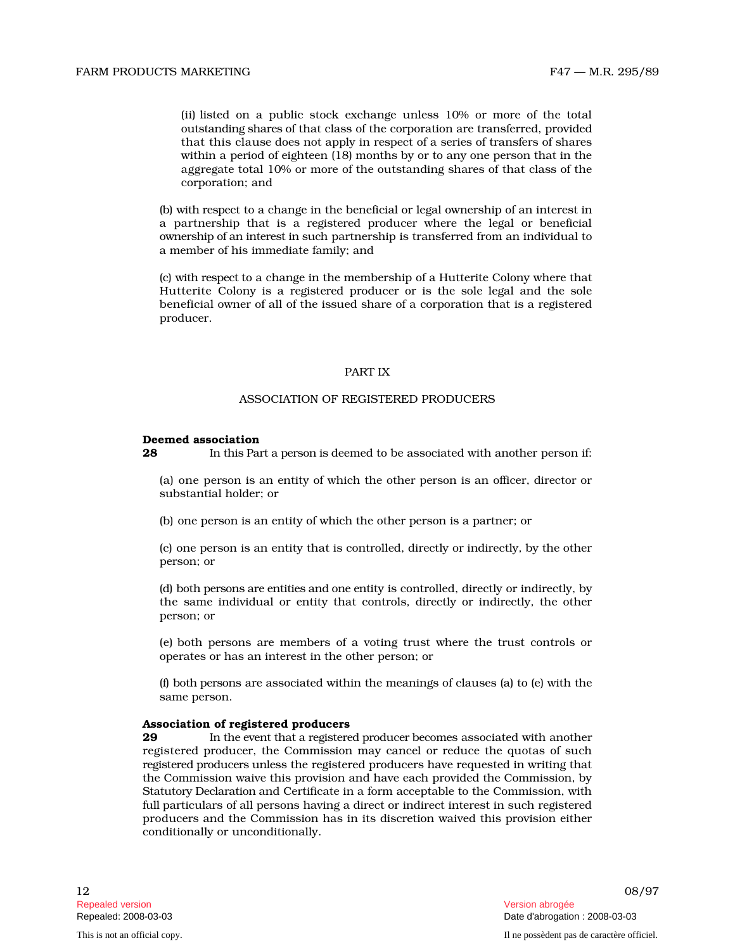(ii) listed on a public stock exchange unless 10% or more of the total o u t s t an d i ng s h ares of that class of the corporation are transferred, provided that this clause does not apply in respect of a series of transfers of shares within a period of eighteen (18) months by or to any one person that in the aggregate total 10% or more of the outstanding shares of that class of the corporation; and

( b ) wi th res p ect to a change in the beneficial or legal ownership of an interest in a partnership that is a registered producer where the legal or beneficial ownership of an interest in such partnership is transferred from an individual to a member of his immediate family; and

(c) with respect to a change in the membership of a Hutterite Colony where that Hutterite Colony is a registered producer or is the sole legal and the sole beneficial owner of all of the issued share of a corporation that is a registered producer.

#### PART IX

#### ASSOCIATION OF REGISTERED PRODUCERS

#### Deemed association

28 In this Part a person is deemed to be associated with another person if:

(a) one person is an entity of which the other person is an officer, director or substantial holder; or

(b) one person is an entity of which the other person is a partner; or

(c) one person is an entity that is controlled, directly or indirectly, by the other person; or

(d) both pe r s o ns are e n ti ties and o ne e n tity is controlled, directly or indirectly, by the same individual or entity that controls, directly or indirectly, the other person; or

(e) both persons are members of a voting trust where the trust controls or operates or has an interest in the other person; or

(f) both persons are associated within the meanings of clauses (a) to (e) with the same person.

#### Association of registered producers

29 In the event that a registered producer becomes associated with another registered producer, the Commission may cancel or reduce the quotas of such registered producers unless the registered producers have requested in writing that the Commission waive this provision and have each provided the Commission, by Statutory Declaration and Certificate in a form acceptable to the Commission, with full particulars of all persons having a direct or indirect interest in such registered producers and the Commission has in its discretion waived this provision either conditionally or unconditionally.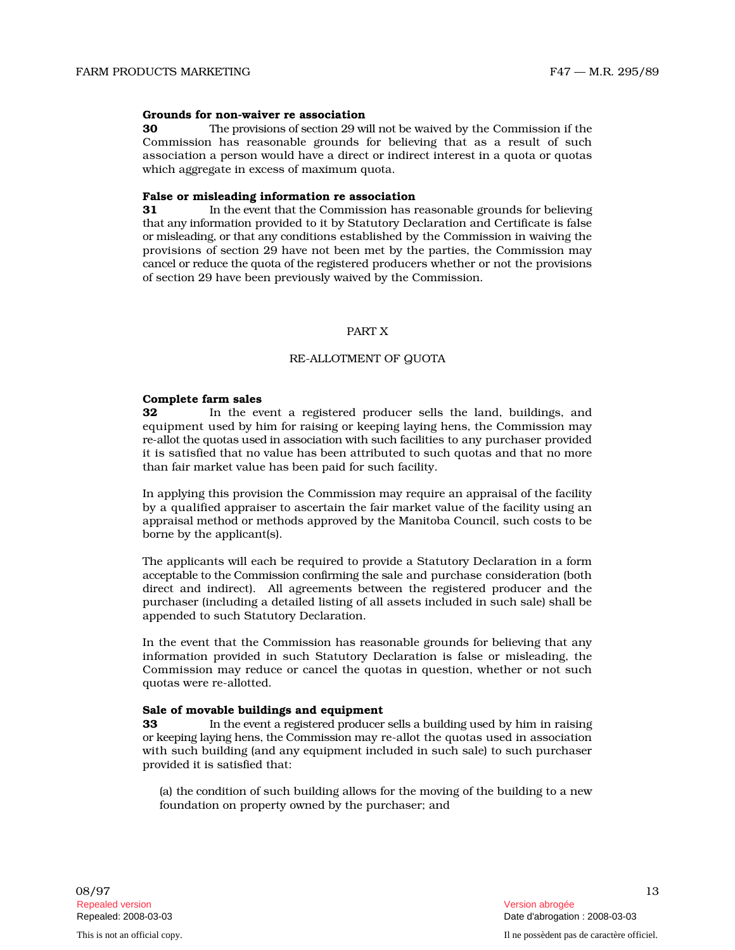#### Grounds for non-waiver re association

30 The provisions of section 29 will not be waived by the Commission if the Commission has reasonable grounds for believing that as a result of such association a person would have a direct or indirect interest in a quota or quotas which aggregate in excess of maximum quota.

#### False or misleading information re association

31 In the eve nt th at th e Commission has reasonable grounds for believing that any information provided to it by Statutory Declaration and Certificate is false or misleading, or that any conditions established by the Commission in waiving the provisions of section 29 have not been met by the parties, the Commission may cancel or reduce the quota of the registered producers whether or not the provisions of section 29 have been previously waived by the Commission.

#### PART X

### RE-ALLOTMENT OF QUOTA

#### Complete farm sales

**32** In the event a registered producer sells the land, buildings, and equipment used by him for raising or keeping laying hens, the Commission may re-allot the quotas used in association with such facilities to any purchaser provided it is satisfied that no value has been attributed to such quotas and that no more than fair market value has been paid for such facility.

In app ly i ng this provision the Commission may require an appraisal of the facility by a qualified appraiser to ascertain the fair market value of the facility using an a ppraisal method or methods approved by the Manitoba Council, such costs to be borne by the applicant(s).

The applicants will each be required to provide a Statutory Declaration in a form acceptable to the Commission confirming the sale and purchase consideration (both direct and indirect). All agreements between the registered producer and the purchaser (including a detailed listing of all assets included in such sale) shall be appended to such Statutory Declaration.

In the event that the Commission has reasonable grounds for believing that any information provided in such Statutory Declaration is false or misleading, the Commission may reduce or cancel the quotas in question, whether or not such quotas were re-allotted.

#### Sale of movable buildings and equipment

33 In the event a registered producer sells a building used by him in raising or keeping laying hens, the Commission may re-allot the quotas used in association with such building (and any equipment included in such sale) to such purchaser provided it is satisfied that:

(a) the condition of such building allows for the moving of the building to a new foundation on property owned by the purchaser; and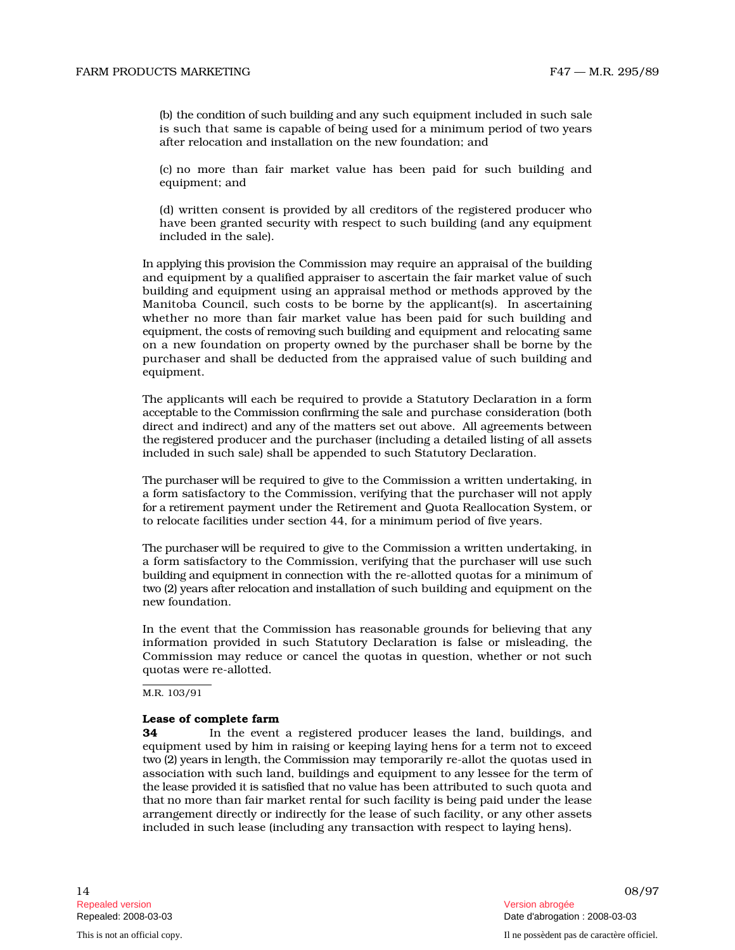after relocation and installation on the new foundation; and

(c) no more than fair market value has been paid for such building and equipment; and

(d) written consent is provided by all creditors of the registered producer who have been granted security with respect to such building (and any equipment included in the sale).

19 les condition of such building and any such equipment included in such same that the condition of such building and  $\mu$  means that the condition of such same for such that same for such building and peripment in such In applying this provision the Commission may require an appraisal of the building and equipment by a qualified appraiser to ascertain the fair market value of such building and equipment using an appraisal method or methods approved by the Manitoba Council, such costs to be borne by the applicant(s). In ascertaining whether no more than fair market value has been paid for such building and equipment, the costs of removing such building and equipment and relocating same on a new foundation on property owned by the purchaser shall be borne by the purchaser and shall be deducted from the appraised value of such building and equipment.

The applicants will each be required to provide a Statutory Declaration in a form acceptable to the Commission confirming the sale and purchase consideration (both direct and indirect) and any of the matters set out above. All agreements between the registered producer and the purchaser (including a detailed listing of all assets included in such sale) shall be appended to such Statutory Declaration.

The purchaser will be required to give to the Commission a written undertaking, in a form satisfactory to the Commission, verifying that the purchaser will not apply for a retirement payment under the Retirement and Quota Reallocation System, or to relocate facilities under section 44, for a minimum period of five years.

The purchaser will be required to give to the Commission a written undertaking, in a form satisfactory to the Commission, verifying that the purchaser will use such building and equipment in connection with the re-allotted quotas for a minimum of two (2) years after relocation and installation of such building and equipment on the new foundation.

In the event that the Commission has reasonable grounds for believing that any information provided in such Statutory Declaration is false or misleading, the Commission may reduce or cancel the quotas in question, whether or not such quotas were re-allotted.

M.R. 103/91

#### Lease of complete farm

**34** In the event a registered producer leases the land, buildings, and equipment used by him in raising or keeping laying hens for a term not to exceed two (2) years in length, the Commission may temporarily re-allot the quotas used in association with such land, buildings and equipment to any lessee for the term of the lease provided it is satisfied that no value has been attributed to such quota and th at no more than fair market rental for such facility is being paid under the lease arrangement directly or indirectly for the lease of such facility, or any other assets included in such lease (including any transaction with respect to laying hens).

Repealed: 2008-03-03 Date d'abrogation : 2008-03-03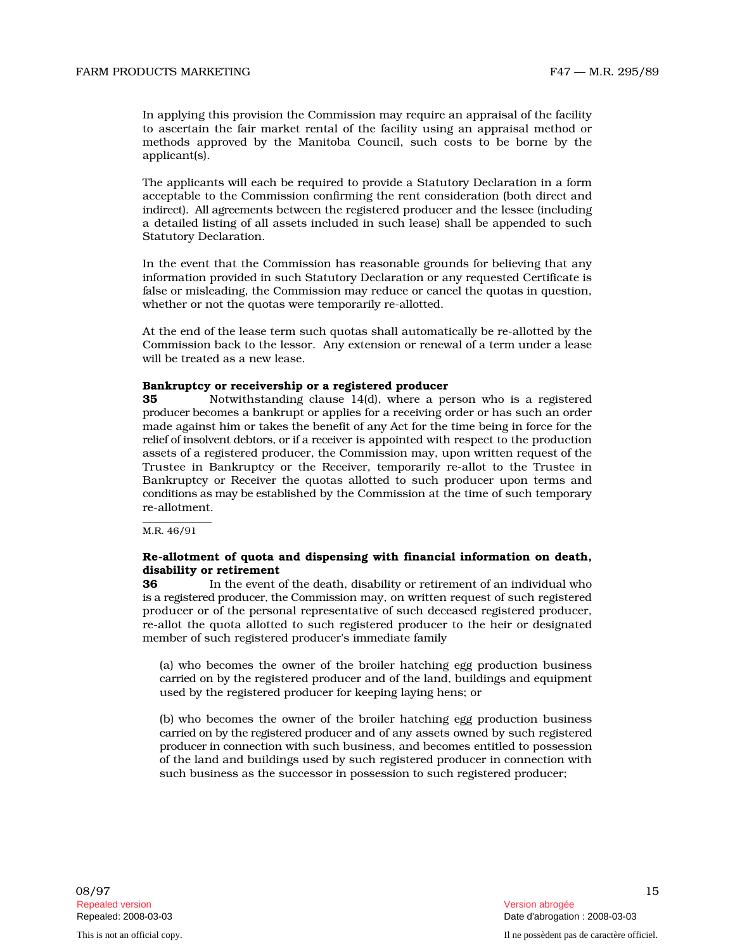In app ly i ng this provision the Commission may require an appraisal of the facility to ascertain the fair market rental of the facility using an appraisal method or methods approved by the Manitoba Council, such costs to be borne by the applicant(s).

The applicants will each be required to provide a Statutory Declaration in a form acceptable to the Commission confirming the rent consideration (both direct and i n d i rec t). All agree m ents between the registered producer and the lessee (including a detailed listing of all assets included in such lease) shall be appended to such Statutory Declaration.

In the event that the Commission has reasonable grounds for believing that any i nformation provided in such Statutory Declaration or any requested Certificate is false or misleading, the Commission may reduce or cancel the quotas in question, whether or not the quotas were temporarily re-allotted.

At the end of the lease term such quotas shall automatically be re-allotted by the Commission back to the lessor. Any extension or renewal of a term under a lease will be treated as a new lease.

#### Bankruptcy or receivership or a registered producer

35 Notwithstanding clause 14(d), where a person who is a registered p r o d ucer b ecomes a bankrupt or applies for a receiving order or has such an order made against him or takes the benefit of any Act for the time being in force for the relief of insolvent debtors, or if a receiver is appointed with respect to the production assets of a registered producer, the Commission may, upon written request of the Trustee in Bankruptcy or the Receiver, temporarily re-allot to the Trustee in Bankruptcy or Receiver the quotas allotted to such producer upon terms and conditions as may be established by the Commission at the time of such temporary re-allotment.

M.R. 46/91

#### Re-allotment of quota and dispensing with financial information on death, disability or retirement

**36** In the event of the death, disability or retirement of an individual who is a registered producer, the Commission may, on written request of such registered producer or of the personal representative of such deceased registered producer, re-allot the quota allotted to such registered producer to the heir or designated member of such registered producer's immediate family

(a) who becomes the owner of the broiler hatching egg production business c arri ed on by the registered producer and of the land, buildings and equipment used by the registered producer for keeping laying hens; or

(b) who becomes the owner of the broiler hatching egg production business carried on by the registered producer and of any assets owned by such registered p r o d ucer in c onnection with such business, and becomes entitled to possession of the land and buildings used by such registered producer in connection with such business as the successor in possession to such registered producer;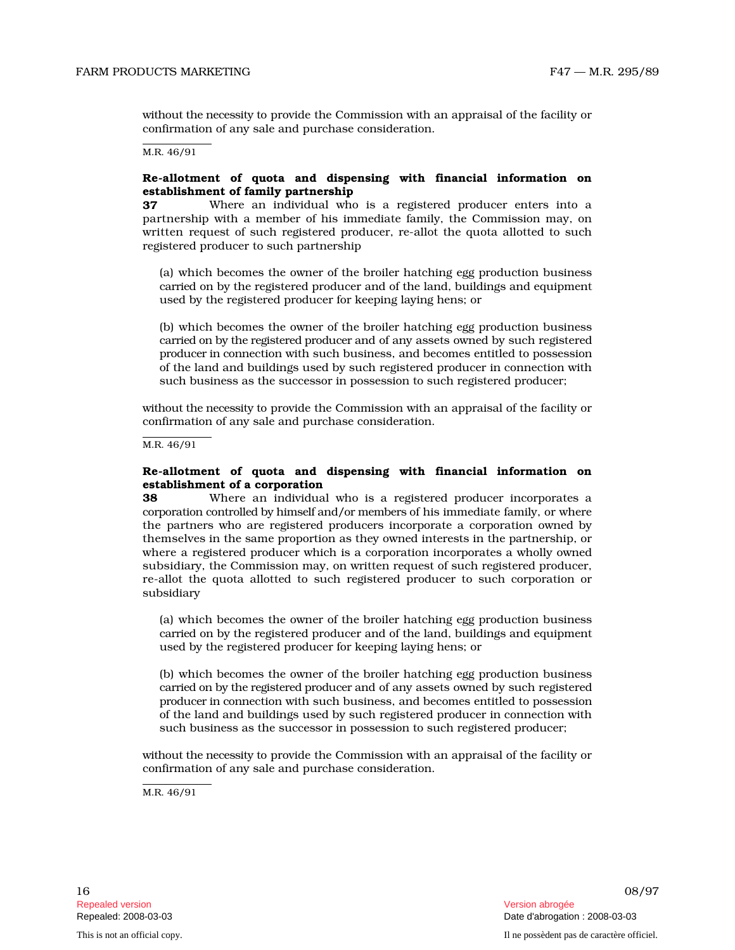confirmation of any sale and purchase consideration.

M.R. 46/91

#### Re-allotment of quota and dispensing with financial information on establishment of family partnership

**37** Where an individual who is a registered producer enters into a partnership with a member of his immediate family, the Commission may, on written request of such registered producer, re-allot the quota allotted to such registered producer to such partnership

(a) which becomes the owner of the broiler hatching egg production business c arri ed on by the registered producer and of the land, buildings and equipment used by the registered producer for keeping laying hens; or

(b) which becomes the owner of the broiler hatching egg production business c arri ed on by the r e gi s t e r ed p r o d ucer and of any assets owned by such registered p r o d ucer in c onnection with such business, and becomes entitled to possession of the land and buildings used by such registered producer in connection with such business as the successor in possession to such registered producer;

wi th o ut the necess i ty to provide the Commission with an appraisal of the facility or confirmation of any sale and purchase consideration.

M.R. 46/91

#### Re-allotment of quota and dispensing with financial information on establishment of a corporation

without the necessity to provide the Commission with an approximate the necessity of the necessity of provide the Commission with an approximation on **Brahilmannia of family partection F** and dispensing with financial i 38 Where an individual who is a registered producer incorporates a corporation controlled by himself and/or members of his immediate family, or where the partners who are registered producers incorporate a corporation owned by themselves in the same proportion as they owned interests in the partnership, or where a registered producer which is a corporation incorporates a wholly owned subsidiary, the Commission may, on written request of such registered producer, re-allot the quota allotted to such registered producer to such corporation or subsidiary

(a) which becomes the owner of the broiler hatching egg production business c arri ed on by the registered producer and of the land, buildings and equipment used by the registered producer for keeping laying hens; or

(b) which becomes the owner of the broiler hatching egg production business carried on by the registered producer and of any assets owned by such registered p r o d ucer in c onnection with such business, and becomes entitled to possession of t he l a nd a nd b uil d i n gs used by s u ch r e g i s t e r ed p r o d ucer in connection with such business as the successor in possession to such registered producer;

wi th o ut the necess i ty to provide the Commission with an appraisal of the facility or confirmation of any sale and purchase consideration.

M.R. 46/91

Repealed version abrogée et al. Alian abrogée et al. Alian abrogée et al. Alian abrogée et al. Alian abrogée e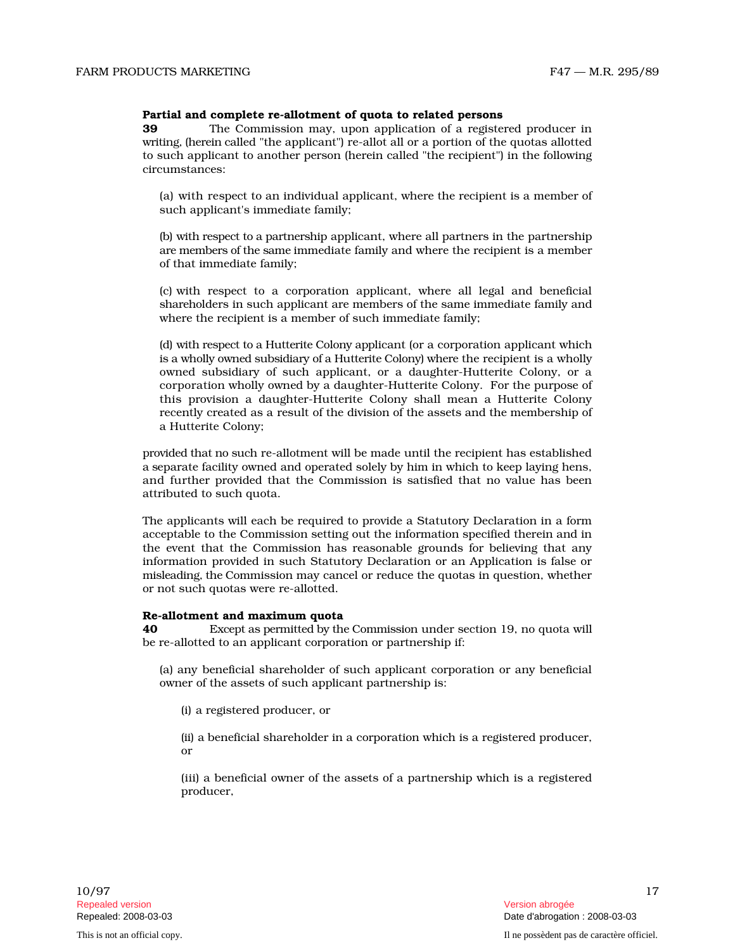#### Partial and complete re-allotment of quota to related persons

**39** The Commission may, upon application of a registered producer in wri ti n g, ( h e r e in c alled "the applicant") re-allot all or a portion of the quotas allotted to such applicant to another person (herein called "the recipient") in the following circumstances:

(a) with respect to an individual applicant, where the recipient is a member of such applicant's immediate family;

(b) with respect to a partnership applicant, where all partners in the partnership are members of the same immediate family and where the recipient is a member of that immediate family;

(c) with respect to a corporation applicant, where all legal and beneficial s h ar e h olders in such applicant are members of the same immediate family and where the recipient is a member of such immediate family;

(d) with respect to a Hutterite Colony applicant (or a corporation applicant which is a wholly owned subsidiary of a Hutterite Colony) where the recipient is a wholly owned subsidiary of such applicant, or a daughter-Hutterite Colony, or a corporation wholly owned by a daughter-Hutterite Colony. For the purpose of this provision a daughter-Hutterite Colony shall mean a Hutterite Colony recently created as a result of the division of the assets and the membership of a Hutterite Colony;

provided that no such re-allotment will be made until the recipient has established a separate facility owned and operated solely by him in which to keep laying hens, and further provided that the Commission is satisfied that no value has been attributed to such quota.

The applicants will each be required to provide a Statutory Declaration in a form acceptable to t he Commission setting out the information specified therein and in the event that the Commission has reasonable grounds for believing that any information provided in such Statutory Declaration or an Application is false or m i s l e a d i n g, the C ommission may cancel or reduce the quotas in question, whether or not such quotas were re-allotted.

#### Re-allotment and maximum quota

40 Except as permitted by the Commission under section 19, no quota will be re-allotted to an applicant corporation or partnership if:

(a) any beneficial shareholder of such applicant corporation or any beneficial owner of the assets of such applicant partnership is:

(i) a registered producer, or

(ii) a beneficial shareholder in a corporation which is a registered producer, or

(iii) a beneficial owner of the assets of a partnership which is a registered producer,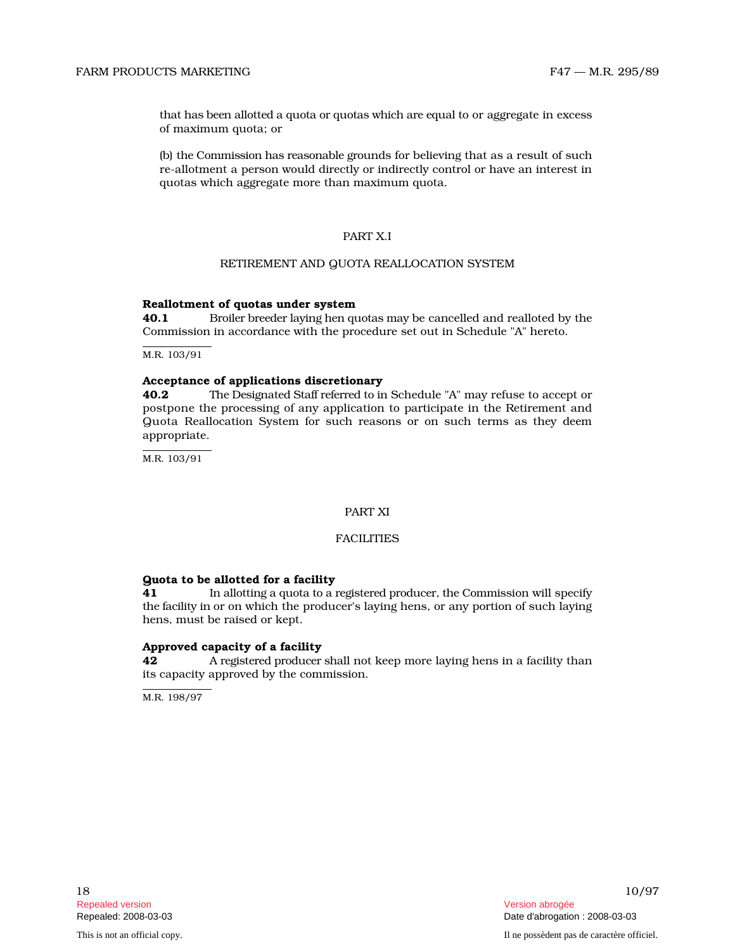of maximum quota; or

(b) the Commission has reasonable grounds for believing that as a result of such re-allotment a person would directly or indirectly control or have an interest in quotas which aggregate more than maximum quota.

# PART X.I

# RETIREMENT AND QUOTA REALLOCATION SYSTEM

#### Reallotment of quotas under system

40.1 Broiler breeder laying hen quotas may be cancelled and realloted by the Commission in accordance with the procedure set out in Schedule "A" hereto.

M.R. 103/91

#### Acceptance of applications discretionary

Until the local consideration of quotas which are equal to or aggregate in excess<br>of maximum quotas that excessentic guotals for believing that as a create of such<br>that the different a person would directly or indirectly 40.2 The Designated Staff referred to in Schedule "A" may refuse to accept or postpone the processing of any application to participate in the Retirement and Quota Reallocation System for such reasons or on such terms as they deem appropriate.

M.R. 103/91

#### PART XI

#### FACILITIES

#### Quota to be allotted for a facility

41 In allotting a quota to a registered producer, the Commission will specify the fa cili ty in or on which the producer's laying hens, or any portion of such laying hens, must be raised or kept.

#### Approved capacity of a facility

42 registered producer shall not keep more laying hens in a facility than its capacity approved by the commission.

M.R. 198/97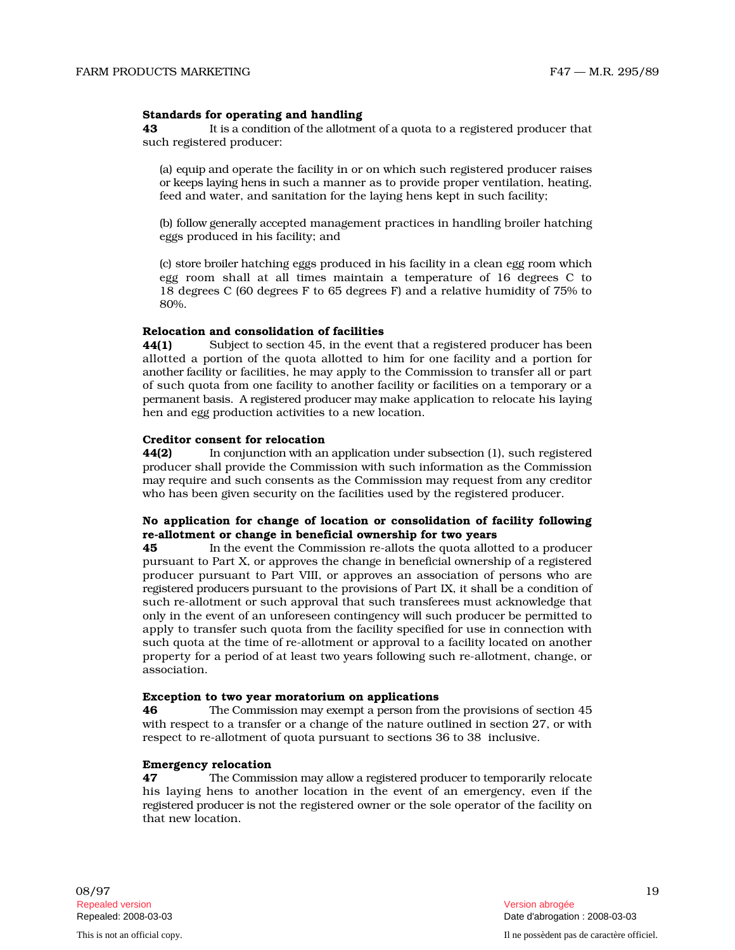#### Standards for operating and handling

43 It is a condition of the allotment of a quota to a registered producer that such registered producer:

(a) equip and operate the facility in or on which such registered producer raises or keeps laying hens in such a manner as to provide proper ventilation, heating, feed and water, and sanitation for the laying hens kept in such facility;

(b) follow generally accepted management practices in handling broiler hatching eggs produced in his facility; and

(c) store broiler hatching eggs produced in his facility in a clean egg room which egg room shall at all times maintain a temperature of 16 degrees C to 18 degrees C (60 degrees F to 65 degrees F) and a relative humidity of 75% to 80%.

#### Relocation and consolidation of facilities

44(1) S u bject t o section 45, in the event that a registered producer has been allotted a portion of the quota allotted to him for one facility and a portion for an o th er fa cility or facilities, he may apply to the Commission to transfer all or part of such quota from one facility to another facility or facilities on a temporary or a permanent basis. A registered producer may make application to relocate his laying hen and egg production activities to a new location.

#### Creditor consent for relocation

44(2) In conjunction with an application under subsection (1), such registered p roducer shall provide the Commission with such information as the Commission may require and such consents as the Commission may request from any creditor who has been given security on the facilities used by the registered producer.

#### No application for change of location or consolidation of facility follo w i n g re-allotment or change in beneficial ownership for two years

45 In the event the Commission re-allots the quota allotted to a producer pursuant to Part X, or approves the change in beneficial ownership of a registered producer pursuant to Part VIII, or approves an association of persons who are registered producers pursuant to the provisions of Part IX, it shall be a condition of such re-allotment or such approval that such transferees must acknowledge that only in t he eve nt of an unforeseen contingency will such producer be permitted to apply to transfer such quota from the facility specified for use in connection with such quota at the time of re-allotment or approval to a facility located on another property for a period of at least two years following such re-allotment, change, or association.

#### Exception to two year moratorium on applications

46 The C omm iss i on m ay exe m pt a p e r s on fr om th e provisions of section 45 with respect to a transfer or a change of the nature outlined in section 27, or with respect to re-allotment of quota pursuant to sections 36 to 38 inclusive.

#### Emergency relocation

47 The Commission may allow a registered producer to temporarily relocate his laying hens to another location in the event of an emergency, even if the registered producer is not the registered owner or the sole operator of the facility on that new location.

08/97 19 Repealed version abrogée et al. Alian abrogée et al. Alian abrogée et al. Alian abrogée et al. Alian abrogée e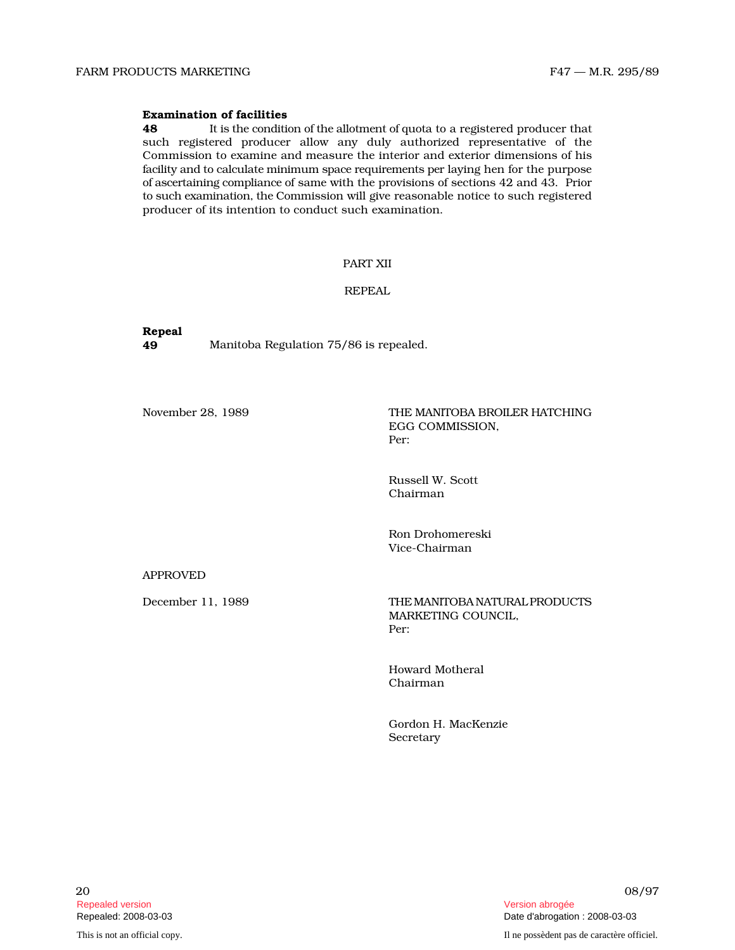#### Examination of facilities

48 It is the condition of the allotment of quota to a registered producer that such registered producer allow any duly authorized representative of the Commission to examine and measure the interior and exterior dimensions of his facility and to calculate minimum space requirements per laying hen for the purpose of asce rt ai n i ng c o m pli ance of same with the provisions of sections 42 and 43. Prior to such examination, the Commission will give reasonable notice to such registered producer of its intention to conduct such examination.

# PART XII

#### REPEAL

Repeal 49 Manitoba Regulation 75/86 is repealed.

November 28, 1989

THE MAN ITO BA B RO I LER HATCHING EGG COMMISSION, Per:

Russell W. Scott Chairman

Ron Drohomereski Vice-Chairman

APPROVED

December 11, 1989

THE MANITOBA NATURAL PRODUCTS MARKETING COUNCIL, Per:

Howard Motheral Chairman

Gordon H. MacKenzie **Secretary**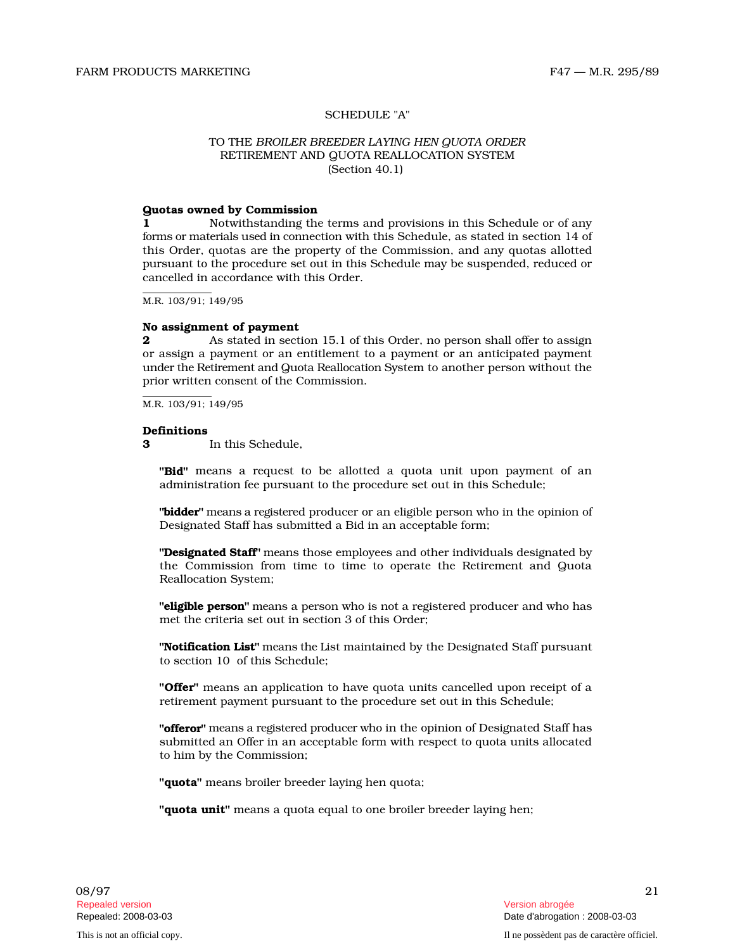### SCHEDULE "A"

#### TO THE *BROILER BREEDER LAYING HEN QUOTA ORDER* RETIREMENT AND QUOTA REALLOCATION SYSTEM (Section 40.1)

#### Quotas owned by Commission

1 Notwithstanding the terms and provisions in this Schedule or of any forms or materials used in connection with this Schedule, as stated in section 14 of this Order, quotas are the property of the Commission, and any quotas allotted p ursuant to the procedure set out in this Schedule may be suspended, reduced or cancelled in accordance with this Order.

M.R. 103/91; 149/95

#### No assignment of payment

 $\, {\bf 2} \qquad \qquad \, \text{As stated in section 15.1 of this Order, no person shall offer to assign}$ or assign a payment or an entitlement to a payment or an anticipated payment under the Retirement and Quota Reallocation System to another person without the prior written consent of the Commission.

M.R. 103/91; 149/95

#### Definitions

3 In this Schedule,

"Bid" means a request to be allotted a quota unit upon payment of an administration fee pursuant to the procedure set out in this Schedule;

"bidder" means a registered producer or an eligible person who in the opinion of Designated Staff has submitted a Bid in an acceptable form;

"Designated Staff" means those employees and other individuals designated by the Commission from time to time to operate the Retirement and Quota Reallocation System;

"eligible person" means a person who is not a registered producer and who has met the criteria set out in section 3 of this Order;

"Notification List" means the List maintained by the Designated Staff pursuant to section 10 of this Schedule;

"Offer" means an application to have quota units cancelled upon receipt of a retirement payment pursuant to the procedure set out in this Schedule;

"**offeror**" means a registered producer who in the opinion of Designated Staff has submitted an Offer in an acceptable form with respect to quota units allocated to him by the Commission;

"quota" means broiler breeder laying hen quota;

"quota unit" means a quota equal to one broiler breeder laying hen;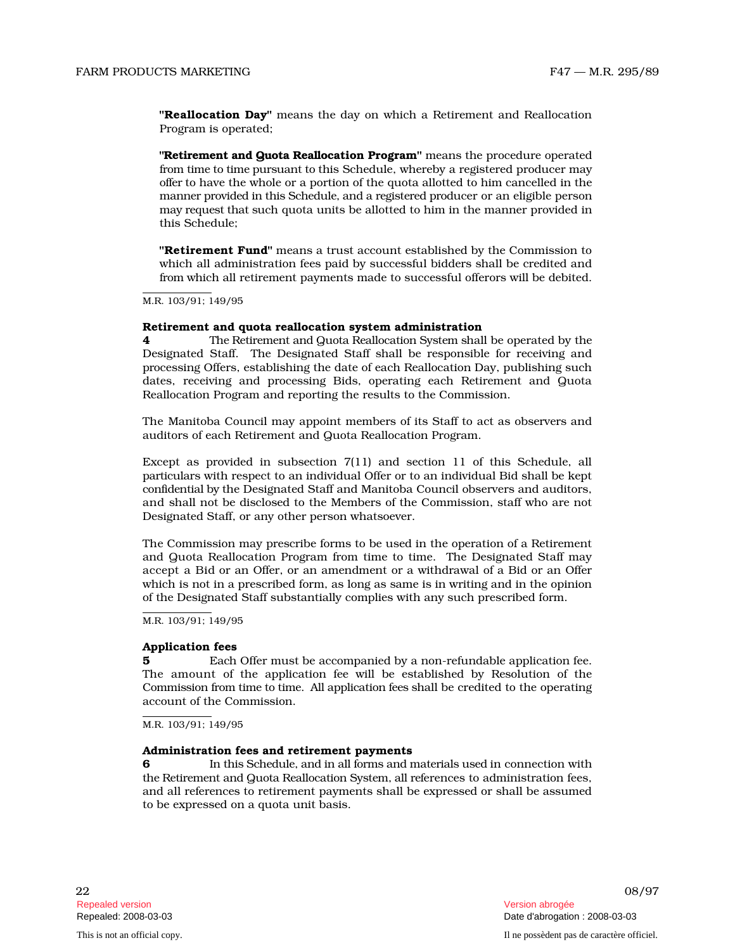Program is operated;

**The Marchine Existential Control Control Control Control Control Control Control Control Control Control Control Control Control Control Control Control Control Control Control Control Control Control Control Control Con** "Retirement and Quota Reallocation Program" means the procedure operated from time to time pursuant to this Schedule, whereby a registered producer may offer to have the whole or a portion of the quota allotted to him cancelled in the manner provided in this Schedule, and a registered producer or an eligible person may request that such quota units be allotted to him in the manner provided in this Schedule;

**"Retirement Fund"** means a trust account established by the Commission to which all administration fees paid by successful bidders shall be credited and fr om which all retirement payments made to successful offerors will be debited.

M.R. 103/91; 149/95

Retirement and quota reallocation system administration<br>4 The Retirement and Quota Reallocation System shall be operated by the Designated Staff. The Designated Staff shall be responsible for receiving and p rocessing Offers, establishing the date of each Reallocation Day, publishing such dates, receiving and processing Bids, operating each Retirement and Quota Reallocation Program and reporting the results to the Commission.

The Manitoba Council may appoint members of its Staff to act as observers and auditors of each Retirement and Quota Reallocation Program.

Except as provided in subsection  $7(11)$  and section 11 of this Schedule, all p arti c u l ars with respect to an individual Offer or to an individual Bid shall be kept c o n fi d e n ti al by the Designated Staff and Manitoba Council observers and auditors, and shall not be disclosed to the Members of the Commission, staff who are not Designated Staff, or any other person whatsoever.

The Commission may prescribe forms to be used in the operation of a Retirement and Quota Reallocation Program from time to time. The Designated Staff may accept a Bid or an Offer, or an amendment or a withdrawal of a Bid or an Offer which is not in a prescribed form, as long as same is in writing and in the opinion of the Designated Staff substantially complies with any such prescribed form.

M.R. 103/91; 149/95

#### Application fees

5 Each Offer must be accompanied by a non-refundable application fee. The amount of the application fee will be established by Resolution of the Commission from time to time. All application fees shall be credited to the operating account of the Commission.

M.R. 103/91; 149/95

# **Administration fees and retirement payments 6** In this Schedule, and in all forms and r

at e ri als used in connection with the Retirement and Quota Reallocation System, all references to administration fees, and all references to retirement payments shall be expressed or shall be assumed to be expressed on a quota unit basis.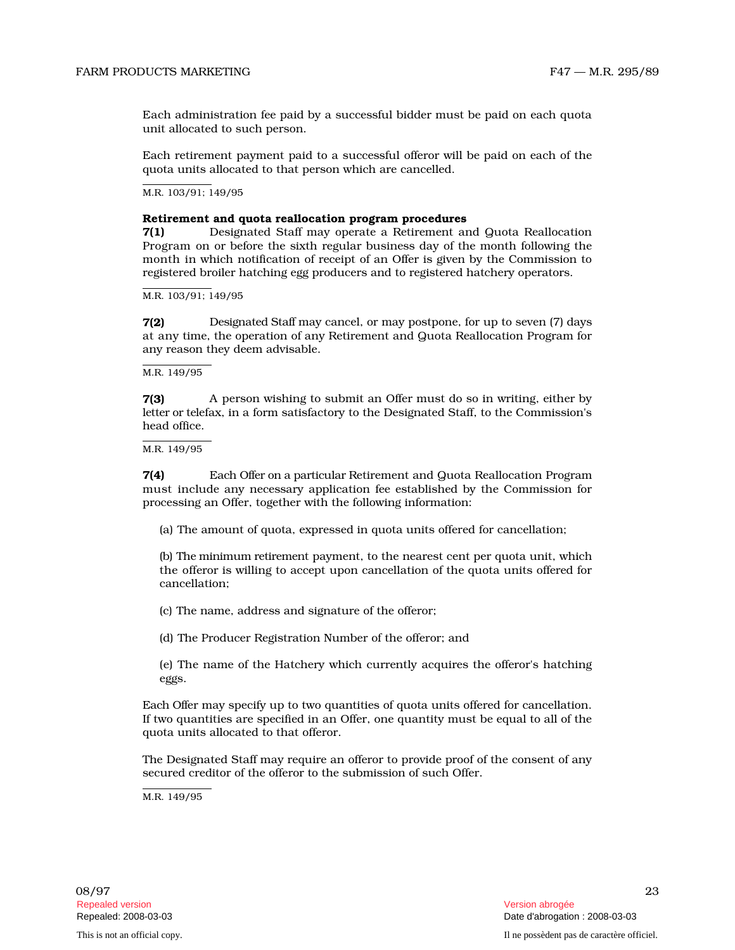unit allocated to such person.

Each retirement payment paid to a successful offeror will be paid on each of the quota units allocated to that person which are cancelled.

M.R. 103/91; 149/95

#### Retirement and quota reallocation program procedures

Each administration for paid by a successful bidder must be paid on each quota<br>
unnta altocated by such property.<br>
Each retir control payard point of a successful odding the paid on each of the<br>
quota units allocated by t **7(1)** Designated Staff may operate a Retirement and Quota Reallocation Program on or before the sixth regular business day of the month following the month in which notification of receipt of an Offer is given by the Commission to registered broiler hatching egg producers and to registered hatchery operators.

M.R. 103/91; 149/95

7(2) Des i gn at ed S t aff may cancel, or may postpone, for up to seven (7) days at any time, the operation of any Retirement and Quota Reallocation Program for any reason they deem advisable.

M.R. 149/95

7(3) A person wishing to submit an Offer must do so in writing, either by l ett er or t e lefax, in a form satisfactory to the Designated Staff, to the Commission's head office.

M.R. 149/95

7(4) Each Offer on a particular Retirement and Quota Reallocation Program must include any necessary application fee established by the Commission for processing an Offer, together with the following information:

(a) The amount of quota, expressed in quota units offered for cancellation;

(b) The minimum retirement payment, to the nearest cent per quota unit, which the offeror is willing to accept upon cancellation of the quota units offered for cancellation;

(c) The name, address and signature of the offeror;

(d) The Producer Registration Number of the offeror; and

(e) The name of the Hatchery which currently acquires the offeror's hatching eggs.

E a ch Offer may specify up to two quantities of quota units offered for cancellation. If two quantities are specified in an Offer, one quantity must be equal to all of the quota units allocated to that offeror.

The Designated Staff may require an offeror to provide proof of the consent of any secured creditor of the offeror to the submission of such Offer.

M.R. 149/95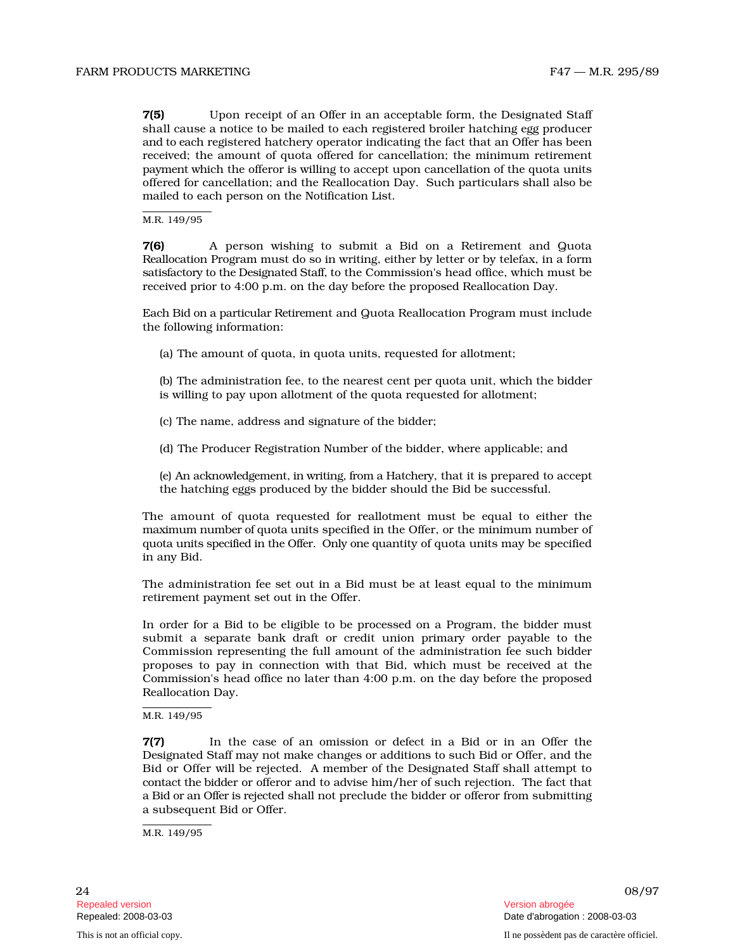7(5) Upon receipt of an Offer in an acceptable form, the Designated Staff shall cause a notice to be mailed to each registered broiler hatching egg producer and to e a ch registered hatchery operator indicating the fact that an Offer has been received; the amount of quota offered for cancellation; the minimum retirement p aym e nt which the offeror is willing to accept upon cancellation of the quota units offered for cancellation; and the Reallocation Day. Such particulars shall also be mailed to each person on the Notification List.

M.R. 149/95

7(6) A person wishing to submit a Bid on a Retirement and Quota Re all o c ation Program must do so in writing, either by letter or by telefax, in a form satisfactory to the Designated Staff, to the Commission's head office, which must be received prior to 4:00 p.m. on the day before the proposed Reallocation Day.

Each Bid on a particular Retirement and Quota Reallocation Program must include the following information:

(a) The amount of quota, in quota units, requested for allotment;

(b) The administration fee, to the nearest cent per quota unit, which the bidder is willing to pay upon allotment of the quota requested for allotment;

(c) The name, address and signature of the bidder;

(d) The Producer Registration Number of the bidder, where applicable; and

(e) An acknowledgement, in writing, from a Hatchery, that it is prepared to accept the hatching eggs produced by the bidder should the Bid be successful.

The amount of quota requested for reallotment must be equal to either the maximum number of quota units specified in the Offer, or the minimum number of quota units specified in the Offer. Only one quantity of quota units may be specified in any Bid.

The administration fee set out in a Bid must be at least equal to the minimum retirement payment set out in the Offer.

In order for a Bid to be eligible to be processed on a Program, the bidder must submit a separate bank draft or credit union primary order payable to the Commission representing the full amount of the administration fee such bidder proposes to pay in connection with that Bid, which must be received at the Commission's head office no later than 4:00 p.m. on the day before the proposed Reallocation Day.

#### M.R. 149/95

7(7) In the case of an omission or defect in a Bid or in an Offer the D esignated Staff may not make changes or additions to such Bid or Offer, and the Bid or Offer will be rejected. A member of the Designated Staff shall attempt to contact the bidder or offeror and to advise him/her of such rejection. The fact that a B id or an Offer is r ejec t ed shall not preclude the bidder or offeror from submitting a subsequent Bid or Offer.

M.R. 149/95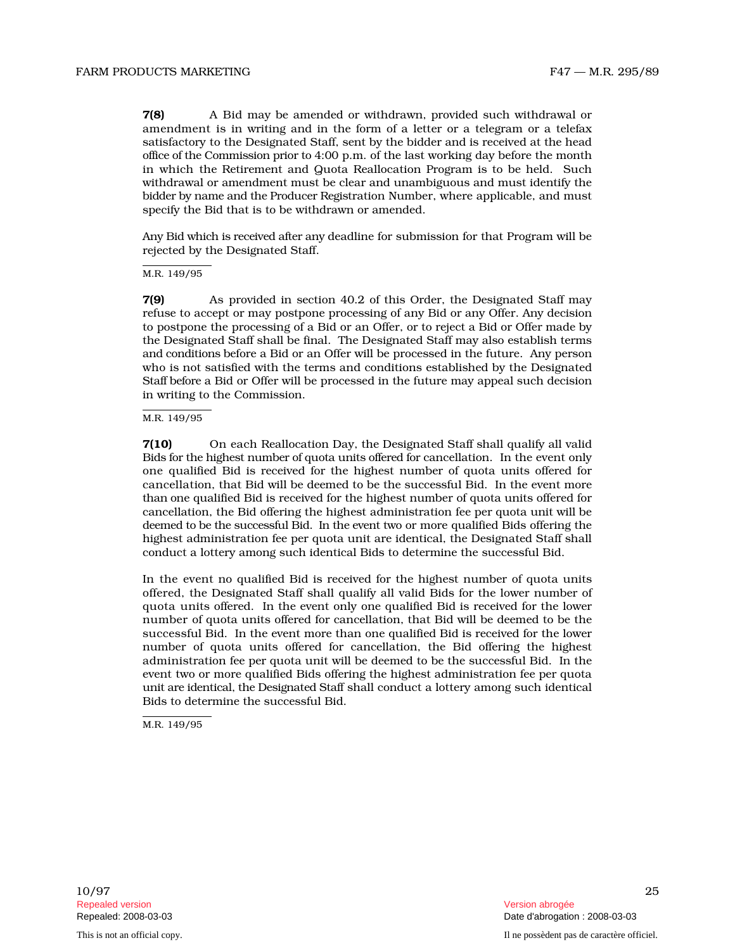7(8) A Bid may be amended or withdrawn, provided such withdrawal or amendment is in writing and in the form of a letter or a telegram or a telefax satisfactory to the Designated Staff, sent by the bidder and is received at the head office of the C omm iss i on p ri or to 4:00 p.m. of the last working day before the month in which the Retirement and Quota Reallocation Program is to be held. Such withdrawal or amendment must be clear and unambiguous and must identify the bidder by name and the Producer Registration Number, where applicable, and must specify the Bid that is to be withdrawn or amended.

Any Bid which is received after any deadline for submission for that Program will be rejected by the Designated Staff.

M.R. 149/95

7(9) As provided in section 40.2 of this Order, the Designated Staff may refuse to acce pt or m ay p o s t p o ne p r ocess i ng of a ny B id or any Offer. Any decision to postpone the processing of a Bid or an Offer, or to reject a Bid or Offer made by the Designated Staff shall be final. The Designated Staff may also establish terms and conditions before a Bid or an Offer will be processed in the future. Any person who is not satisfied with the terms and conditions established by the Designated Staff before a Bid or Offer will be processed in the future may appeal such decision in writing to the Commission.

#### M.R. 149/95

7(10) On each Reallocation Day, the Designated Staff shall qualify all valid Bids for the highest number of quota units offered for cancellation. In the event only one qualified Bid is received for the highest number of quota units offered for cancellation, that Bid will be deemed to be the successful Bid. In the event more th an one qualified Bid is received for the highest number of quota units offered for cancellation, the Bid offering the highest administration fee per quota unit will be deemed to be the successful Bid. In the event two or more qualified Bids offering the highest administration fee per quota unit are identical, the Designated Staff shall conduct a lottery among such identical Bids to determine the successful Bid.

In the event no qualified Bid is received for the highest number of quota units offered, the Designated Staff shall qualify all valid Bids for the lower number of quota units offered. In the event only one qualified Bid is received for the lower number of quota units offered for cancellation, that Bid will be deemed to be the successful Bid. In the event more than one qualified Bid is received for the lower number of quota units offered for cancellation, the Bid offering the highest administration fee per quota unit will be deemed to be the successful Bid. In the event two or more qualified Bids offering the highest administration fee per quota unit are identical, the Designated Staff shall conduct a lottery among such identical Bids to determine the successful Bid.

M.R. 149/95

 $10/97$  25 Repealed version abrogée et al. Alian abrogée et al. Alian abrogée et al. Alian abrogée et al. Alian abrogée e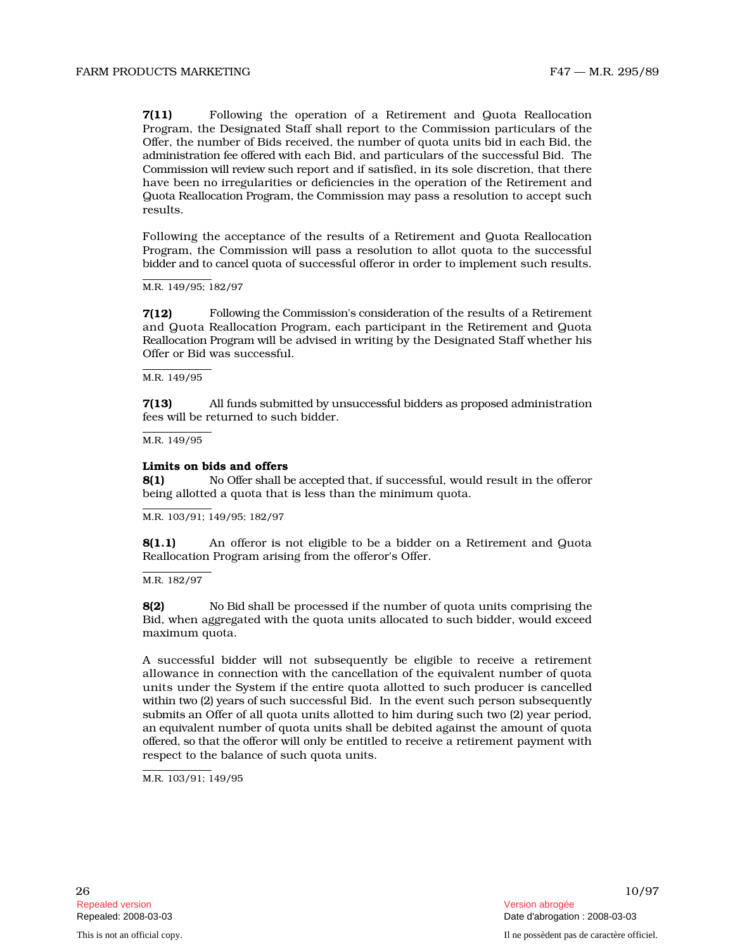**7(11)** Following the operation of a Retirement and Quota Reallocation Program, the Designated Staff shall report to the Commission particulars of the O ffer, the number of Bids received, the number of quota units bid in each Bid, the administration fee offered with each Bid, and particulars of the successful Bid. The Commission will review such report and if satisfied, in its sole discretion, that there have been no irregularities or deficiencies in the operation of the Retirement and Q u o ta Re all o c ati on Pr o gram, the Commission may pass a resolution to accept such results.

Following the acceptance of the results of a Retirement and Quota Reallocation Program, the Commission will pass a resolution to allot quota to the successful b idd er and to c ancel qu o t a of successful offeror in order to implement such results.

M.R. 149/95; 182/97

7(12) Following the Commission's consideration of the results of a Retirement and Quota Reallocation Program, each participant in the Retirement and Quota Re all o c ati on Pr o gram will be advised in writing by the Designated Staff whether his Offer or Bid was successful.

M.R. 149/95

7(13) All funds submitted by unsuccessful bidders as proposed administration fees will be returned to such bidder.

M.R. 149/95

#### Limits on bids and offers

8(1) No Offer s h all be acce p t ed th at, if successful, would result in the offeror being allotted a quota that is less than the minimum quota.

M.R. 103/91; 149/95; 182/97

8(1.1) An offeror is not eligible to be a bidder on a Retirement and Quota Reallocation Program arising from the offeror's Offer.

M.R. 182/97

8(2) No B id shall be processed if the number of quota units comprising the Bid, wh en agg r e g a t ed with the quota units allocated to such bidder, would exceed maximum quota.

A successful bidder will not subsequently be eligible to receive a retirement allowance in connection with the cancellation of the equivalent number of quota units under the System if the entire quota allotted to such producer is cancelled within two (2) years of such successful Bid. In the event such person subsequently s u b m i ts an Offer of all quota units allotted to him during such two (2) year period, an e qu ivalent number of quota units shall be debited against the amount of quota offe r e d, so th at the o fferor will only be entitled to receive a retirement payment with respect to the balance of such quota units.

M.R. 103/91; 149/95